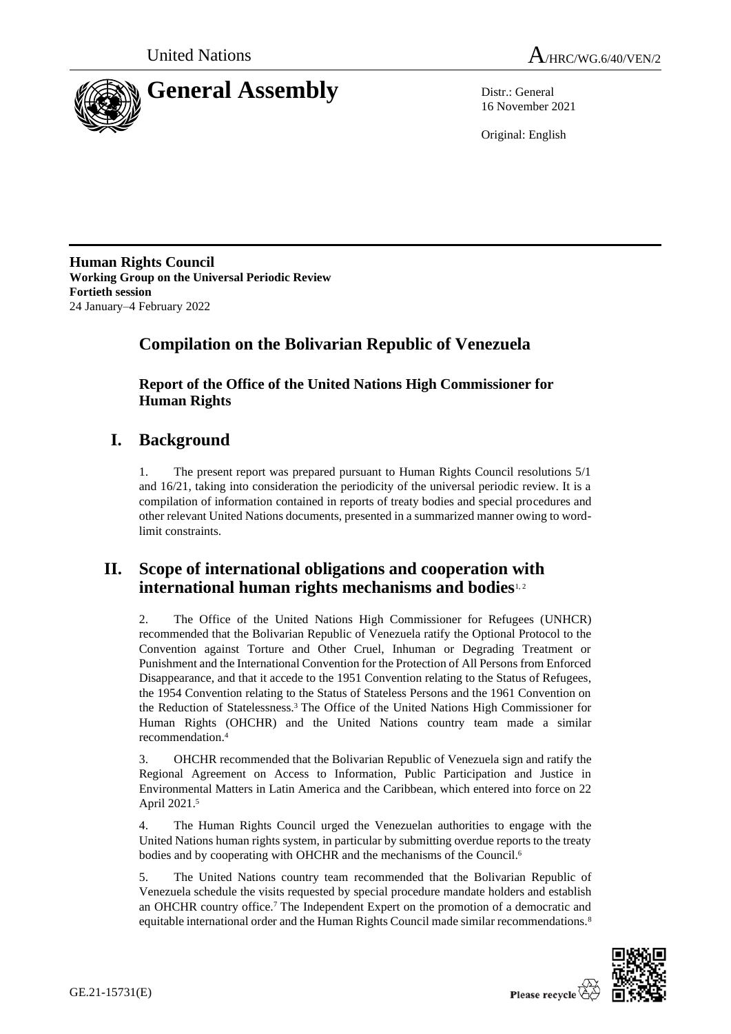



16 November 2021

Original: English

**Human Rights Council Working Group on the Universal Periodic Review Fortieth session** 24 January–4 February 2022

# **Compilation on the Bolivarian Republic of Venezuela**

**Report of the Office of the United Nations High Commissioner for Human Rights**

# **I. Background**

1. The present report was prepared pursuant to Human Rights Council resolutions 5/1 and 16/21, taking into consideration the periodicity of the universal periodic review. It is a compilation of information contained in reports of treaty bodies and special procedures and other relevant United Nations documents, presented in a summarized manner owing to wordlimit constraints.

# **II. Scope of international obligations and cooperation with international human rights mechanisms and bodies**1, 2

2. The Office of the United Nations High Commissioner for Refugees (UNHCR) recommended that the Bolivarian Republic of Venezuela ratify the Optional Protocol to the Convention against Torture and Other Cruel, Inhuman or Degrading Treatment or Punishment and the International Convention for the Protection of All Persons from Enforced Disappearance, and that it accede to the 1951 Convention relating to the Status of Refugees, the 1954 Convention relating to the Status of Stateless Persons and the 1961 Convention on the Reduction of Statelessness. <sup>3</sup> The Office of the United Nations High Commissioner for Human Rights (OHCHR) and the United Nations country team made a similar recommendation.<sup>4</sup>

3. OHCHR recommended that the Bolivarian Republic of Venezuela sign and ratify the Regional Agreement on Access to Information, Public Participation and Justice in Environmental Matters in Latin America and the Caribbean, which entered into force on 22 April 2021. 5

4. The Human Rights Council urged the Venezuelan authorities to engage with the United Nations human rights system, in particular by submitting overdue reports to the treaty bodies and by cooperating with OHCHR and the mechanisms of the Council.<sup>6</sup>

5. The United Nations country team recommended that the Bolivarian Republic of Venezuela schedule the visits requested by special procedure mandate holders and establish an OHCHR country office.<sup>7</sup> The Independent Expert on the promotion of a democratic and equitable international order and the Human Rights Council made similar recommendations.<sup>8</sup>

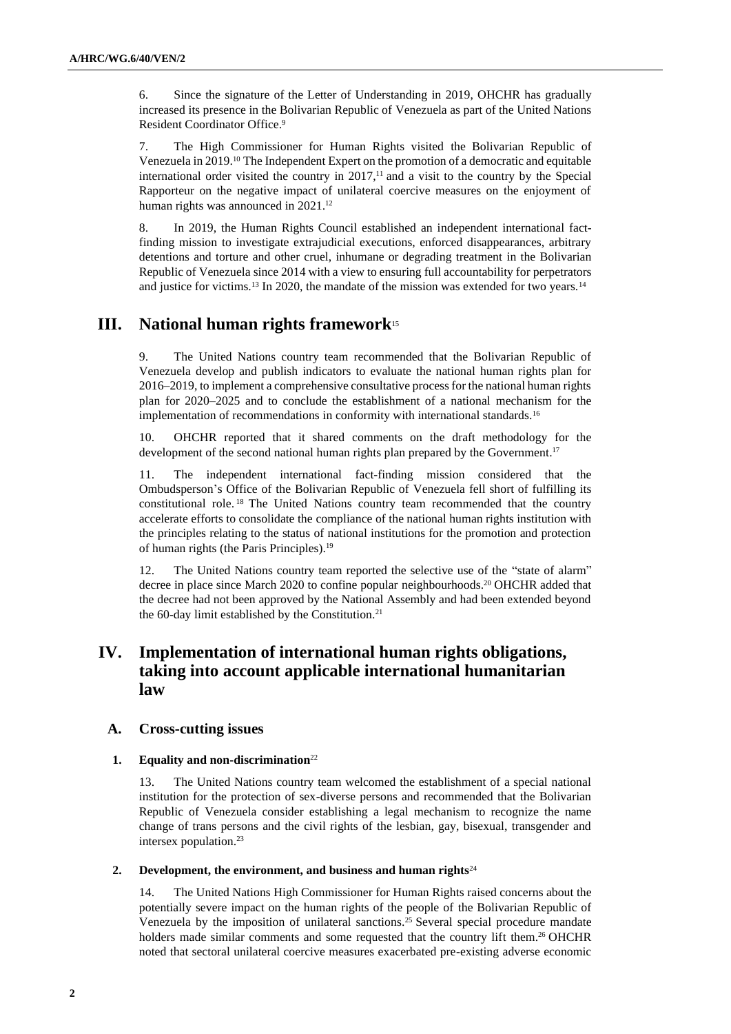6. Since the signature of the Letter of Understanding in 2019, OHCHR has gradually increased its presence in the Bolivarian Republic of Venezuela as part of the United Nations Resident Coordinator Office. 9

7. The High Commissioner for Human Rights visited the Bolivarian Republic of Venezuela in 2019.<sup>10</sup> The Independent Expert on the promotion of a democratic and equitable international order visited the country in  $2017$ ,<sup> $11$ </sup> and a visit to the country by the Special Rapporteur on the negative impact of unilateral coercive measures on the enjoyment of human rights was announced in 2021. 12

8. In 2019, the Human Rights Council established an independent international factfinding mission to investigate extrajudicial executions, enforced disappearances, arbitrary detentions and torture and other cruel, inhumane or degrading treatment in the Bolivarian Republic of Venezuela since 2014 with a view to ensuring full accountability for perpetrators and justice for victims.<sup>13</sup> In 2020, the mandate of the mission was extended for two years.<sup>14</sup>

## **III. National human rights framework**<sup>15</sup>

9. The United Nations country team recommended that the Bolivarian Republic of Venezuela develop and publish indicators to evaluate the national human rights plan for 2016–2019, to implement a comprehensive consultative process for the national human rights plan for 2020–2025 and to conclude the establishment of a national mechanism for the implementation of recommendations in conformity with international standards.<sup>16</sup>

10. OHCHR reported that it shared comments on the draft methodology for the development of the second national human rights plan prepared by the Government.<sup>17</sup>

11. The independent international fact-finding mission considered that the Ombudsperson's Office of the Bolivarian Republic of Venezuela fell short of fulfilling its constitutional role. <sup>18</sup> The United Nations country team recommended that the country accelerate efforts to consolidate the compliance of the national human rights institution with the principles relating to the status of national institutions for the promotion and protection of human rights (the Paris Principles).<sup>19</sup>

12. The United Nations country team reported the selective use of the "state of alarm" decree in place since March 2020 to confine popular neighbourhoods. <sup>20</sup> OHCHR added that the decree had not been approved by the National Assembly and had been extended beyond the 60-day limit established by the Constitution.<sup>21</sup>

## **IV. Implementation of international human rights obligations, taking into account applicable international humanitarian law**

### **A. Cross-cutting issues**

### **1. Equality and non-discrimination**<sup>22</sup>

13. The United Nations country team welcomed the establishment of a special national institution for the protection of sex-diverse persons and recommended that the Bolivarian Republic of Venezuela consider establishing a legal mechanism to recognize the name change of trans persons and the civil rights of the lesbian, gay, bisexual, transgender and intersex population.<sup>23</sup>

### **2. Development, the environment, and business and human rights**<sup>24</sup>

14. The United Nations High Commissioner for Human Rights raised concerns about the potentially severe impact on the human rights of the people of the Bolivarian Republic of Venezuela by the imposition of unilateral sanctions. <sup>25</sup> Several special procedure mandate holders made similar comments and some requested that the country lift them.<sup>26</sup> OHCHR noted that sectoral unilateral coercive measures exacerbated pre-existing adverse economic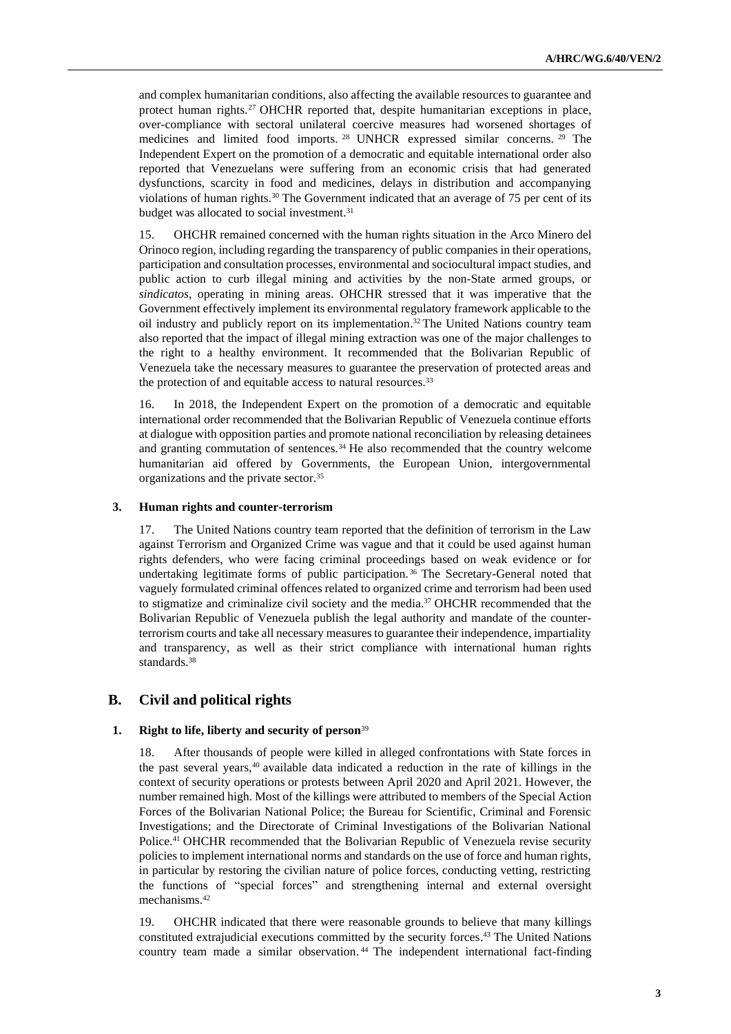and complex humanitarian conditions, also affecting the available resources to guarantee and protect human rights.<sup>27</sup> OHCHR reported that, despite humanitarian exceptions in place, over-compliance with sectoral unilateral coercive measures had worsened shortages of medicines and limited food imports. <sup>28</sup> UNHCR expressed similar concerns. <sup>29</sup> The Independent Expert on the promotion of a democratic and equitable international order also reported that Venezuelans were suffering from an economic crisis that had generated dysfunctions, scarcity in food and medicines, delays in distribution and accompanying violations of human rights.<sup>30</sup> The Government indicated that an average of 75 per cent of its budget was allocated to social investment.<sup>31</sup>

15. OHCHR remained concerned with the human rights situation in the Arco Minero del Orinoco region, including regarding the transparency of public companies in their operations, participation and consultation processes, environmental and sociocultural impact studies, and public action to curb illegal mining and activities by the non-State armed groups, or *sindicatos*, operating in mining areas. OHCHR stressed that it was imperative that the Government effectively implement its environmental regulatory framework applicable to the oil industry and publicly report on its implementation. <sup>32</sup> The United Nations country team also reported that the impact of illegal mining extraction was one of the major challenges to the right to a healthy environment. It recommended that the Bolivarian Republic of Venezuela take the necessary measures to guarantee the preservation of protected areas and the protection of and equitable access to natural resources.<sup>33</sup>

16. In 2018, the Independent Expert on the promotion of a democratic and equitable international order recommended that the Bolivarian Republic of Venezuela continue efforts at dialogue with opposition parties and promote national reconciliation by releasing detainees and granting commutation of sentences.<sup>34</sup> He also recommended that the country welcome humanitarian aid offered by Governments, the European Union, intergovernmental organizations and the private sector.<sup>35</sup>

### **3. Human rights and counter-terrorism**

17. The United Nations country team reported that the definition of terrorism in the Law against Terrorism and Organized Crime was vague and that it could be used against human rights defenders, who were facing criminal proceedings based on weak evidence or for undertaking legitimate forms of public participation. <sup>36</sup> The Secretary-General noted that vaguely formulated criminal offences related to organized crime and terrorism had been used to stigmatize and criminalize civil society and the media.<sup>37</sup> OHCHR recommended that the Bolivarian Republic of Venezuela publish the legal authority and mandate of the counterterrorism courts and take all necessary measures to guarantee their independence, impartiality and transparency, as well as their strict compliance with international human rights standards. 38

### **B. Civil and political rights**

### **1. Right to life, liberty and security of person**<sup>39</sup>

18. After thousands of people were killed in alleged confrontations with State forces in the past several years,<sup>40</sup> available data indicated a reduction in the rate of killings in the context of security operations or protests between April 2020 and April 2021. However, the number remained high. Most of the killings were attributed to members of the Special Action Forces of the Bolivarian National Police; the Bureau for Scientific, Criminal and Forensic Investigations; and the Directorate of Criminal Investigations of the Bolivarian National Police.<sup>41</sup> OHCHR recommended that the Bolivarian Republic of Venezuela revise security policies to implement international norms and standards on the use of force and human rights, in particular by restoring the civilian nature of police forces, conducting vetting, restricting the functions of "special forces" and strengthening internal and external oversight mechanisms. 42

19. OHCHR indicated that there were reasonable grounds to believe that many killings constituted extrajudicial executions committed by the security forces. <sup>43</sup> The United Nations country team made a similar observation. <sup>44</sup> The independent international fact-finding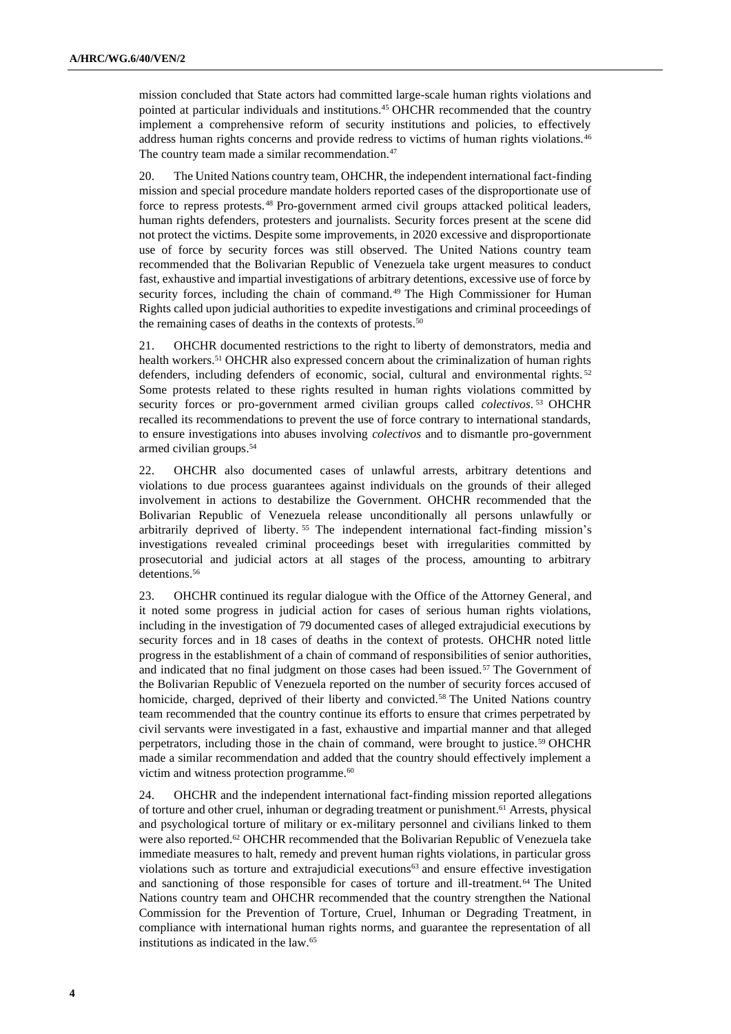mission concluded that State actors had committed large-scale human rights violations and pointed at particular individuals and institutions.<sup>45</sup> OHCHR recommended that the country implement a comprehensive reform of security institutions and policies, to effectively address human rights concerns and provide redress to victims of human rights violations.<sup>46</sup> The country team made a similar recommendation.<sup>47</sup>

20. The United Nations country team, OHCHR, the independent international fact-finding mission and special procedure mandate holders reported cases of the disproportionate use of force to repress protests.<sup>48</sup> Pro-government armed civil groups attacked political leaders, human rights defenders, protesters and journalists. Security forces present at the scene did not protect the victims. Despite some improvements, in 2020 excessive and disproportionate use of force by security forces was still observed. The United Nations country team recommended that the Bolivarian Republic of Venezuela take urgent measures to conduct fast, exhaustive and impartial investigations of arbitrary detentions, excessive use of force by security forces, including the chain of command.<sup>49</sup> The High Commissioner for Human Rights called upon judicial authorities to expedite investigations and criminal proceedings of the remaining cases of deaths in the contexts of protests.<sup>50</sup>

21. OHCHR documented restrictions to the right to liberty of demonstrators, media and health workers. <sup>51</sup> OHCHR also expressed concern about the criminalization of human rights defenders, including defenders of economic, social, cultural and environmental rights. <sup>52</sup> Some protests related to these rights resulted in human rights violations committed by security forces or pro-government armed civilian groups called *colectivos*. <sup>53</sup> OHCHR recalled its recommendations to prevent the use of force contrary to international standards, to ensure investigations into abuses involving *colectivos* and to dismantle pro-government armed civilian groups. 54

22. OHCHR also documented cases of unlawful arrests, arbitrary detentions and violations to due process guarantees against individuals on the grounds of their alleged involvement in actions to destabilize the Government. OHCHR recommended that the Bolivarian Republic of Venezuela release unconditionally all persons unlawfully or arbitrarily deprived of liberty. <sup>55</sup> The independent international fact-finding mission's investigations revealed criminal proceedings beset with irregularities committed by prosecutorial and judicial actors at all stages of the process, amounting to arbitrary detentions. 56

23. OHCHR continued its regular dialogue with the Office of the Attorney General, and it noted some progress in judicial action for cases of serious human rights violations, including in the investigation of 79 documented cases of alleged extrajudicial executions by security forces and in 18 cases of deaths in the context of protests. OHCHR noted little progress in the establishment of a chain of command of responsibilities of senior authorities, and indicated that no final judgment on those cases had been issued.<sup>57</sup> The Government of the Bolivarian Republic of Venezuela reported on the number of security forces accused of homicide, charged, deprived of their liberty and convicted.<sup>58</sup> The United Nations country team recommended that the country continue its efforts to ensure that crimes perpetrated by civil servants were investigated in a fast, exhaustive and impartial manner and that alleged perpetrators, including those in the chain of command, were brought to justice.<sup>59</sup> OHCHR made a similar recommendation and added that the country should effectively implement a victim and witness protection programme.<sup>60</sup>

24. OHCHR and the independent international fact-finding mission reported allegations of torture and other cruel, inhuman or degrading treatment or punishment. <sup>61</sup> Arrests, physical and psychological torture of military or ex-military personnel and civilians linked to them were also reported.<sup>62</sup> OHCHR recommended that the Bolivarian Republic of Venezuela take immediate measures to halt, remedy and prevent human rights violations, in particular gross violations such as torture and extrajudicial executions<sup>63</sup> and ensure effective investigation and sanctioning of those responsible for cases of torture and ill-treatment.<sup>64</sup> The United Nations country team and OHCHR recommended that the country strengthen the National Commission for the Prevention of Torture, Cruel, Inhuman or Degrading Treatment, in compliance with international human rights norms, and guarantee the representation of all institutions as indicated in the law.65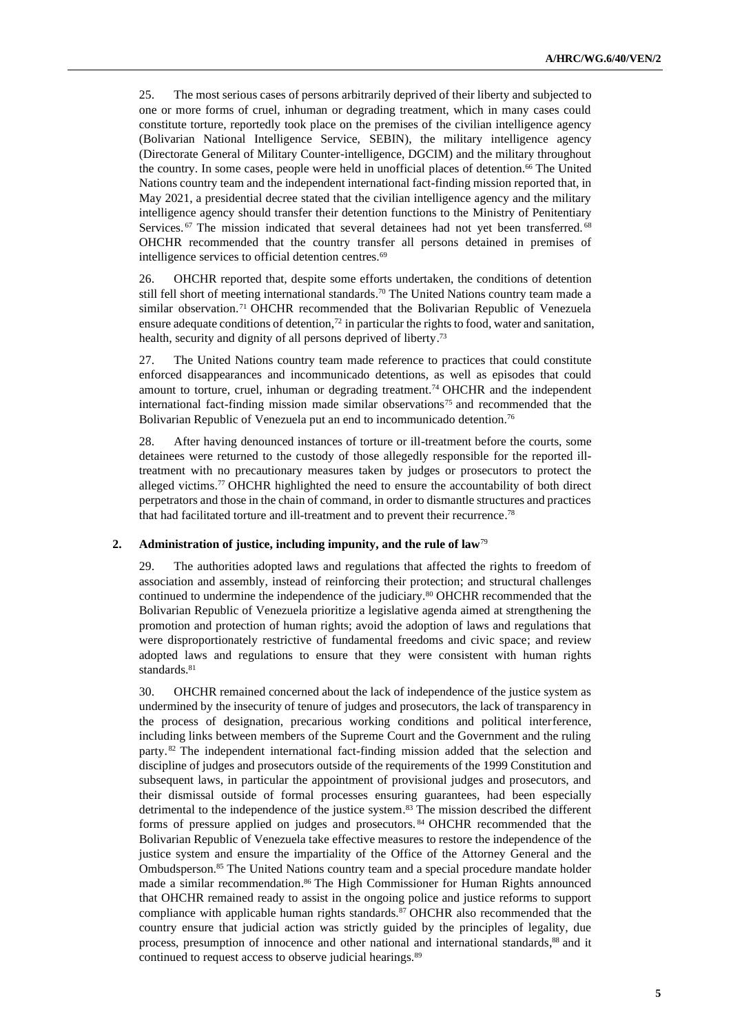25. The most serious cases of persons arbitrarily deprived of their liberty and subjected to one or more forms of cruel, inhuman or degrading treatment, which in many cases could constitute torture, reportedly took place on the premises of the civilian intelligence agency (Bolivarian National Intelligence Service, SEBIN), the military intelligence agency (Directorate General of Military Counter-intelligence, DGCIM) and the military throughout the country. In some cases, people were held in unofficial places of detention.<sup>66</sup> The United Nations country team and the independent international fact-finding mission reported that, in May 2021, a presidential decree stated that the civilian intelligence agency and the military intelligence agency should transfer their detention functions to the Ministry of Penitentiary Services.<sup>67</sup> The mission indicated that several detainees had not yet been transferred.<sup>68</sup> OHCHR recommended that the country transfer all persons detained in premises of intelligence services to official detention centres.<sup>69</sup>

26. OHCHR reported that, despite some efforts undertaken, the conditions of detention still fell short of meeting international standards.<sup>70</sup> The United Nations country team made a similar observation.<sup>71</sup> OHCHR recommended that the Bolivarian Republic of Venezuela ensure adequate conditions of detention, $72$  in particular the rights to food, water and sanitation, health, security and dignity of all persons deprived of liberty.<sup>73</sup>

27. The United Nations country team made reference to practices that could constitute enforced disappearances and incommunicado detentions, as well as episodes that could amount to torture, cruel, inhuman or degrading treatment.<sup>74</sup> OHCHR and the independent international fact-finding mission made similar observations<sup>75</sup> and recommended that the Bolivarian Republic of Venezuela put an end to incommunicado detention.<sup>76</sup>

28. After having denounced instances of torture or ill-treatment before the courts, some detainees were returned to the custody of those allegedly responsible for the reported illtreatment with no precautionary measures taken by judges or prosecutors to protect the alleged victims. <sup>77</sup> OHCHR highlighted the need to ensure the accountability of both direct perpetrators and those in the chain of command, in order to dismantle structures and practices that had facilitated torture and ill-treatment and to prevent their recurrence. 78

### **2. Administration of justice, including impunity, and the rule of law**<sup>79</sup>

29. The authorities adopted laws and regulations that affected the rights to freedom of association and assembly, instead of reinforcing their protection; and structural challenges continued to undermine the independence of the judiciary.<sup>80</sup> OHCHR recommended that the Bolivarian Republic of Venezuela prioritize a legislative agenda aimed at strengthening the promotion and protection of human rights; avoid the adoption of laws and regulations that were disproportionately restrictive of fundamental freedoms and civic space; and review adopted laws and regulations to ensure that they were consistent with human rights standards.<sup>81</sup>

30. OHCHR remained concerned about the lack of independence of the justice system as undermined by the insecurity of tenure of judges and prosecutors, the lack of transparency in the process of designation, precarious working conditions and political interference, including links between members of the Supreme Court and the Government and the ruling party. <sup>82</sup> The independent international fact-finding mission added that the selection and discipline of judges and prosecutors outside of the requirements of the 1999 Constitution and subsequent laws, in particular the appointment of provisional judges and prosecutors, and their dismissal outside of formal processes ensuring guarantees, had been especially detrimental to the independence of the justice system. <sup>83</sup> The mission described the different forms of pressure applied on judges and prosecutors. <sup>84</sup> OHCHR recommended that the Bolivarian Republic of Venezuela take effective measures to restore the independence of the justice system and ensure the impartiality of the Office of the Attorney General and the Ombudsperson.<sup>85</sup> The United Nations country team and a special procedure mandate holder made a similar recommendation. <sup>86</sup> The High Commissioner for Human Rights announced that OHCHR remained ready to assist in the ongoing police and justice reforms to support compliance with applicable human rights standards.<sup>87</sup> OHCHR also recommended that the country ensure that judicial action was strictly guided by the principles of legality, due process, presumption of innocence and other national and international standards, <sup>88</sup> and it continued to request access to observe judicial hearings.<sup>89</sup>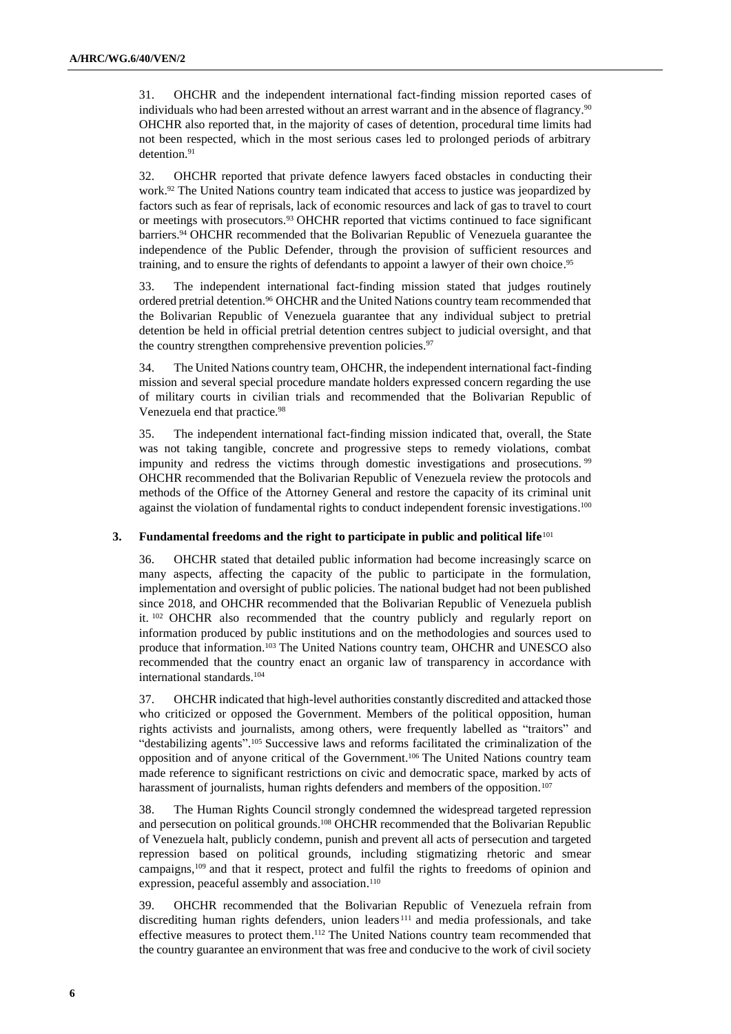31. OHCHR and the independent international fact-finding mission reported cases of individuals who had been arrested without an arrest warrant and in the absence of flagrancy.<sup>90</sup> OHCHR also reported that, in the majority of cases of detention, procedural time limits had not been respected, which in the most serious cases led to prolonged periods of arbitrary detention.<sup>91</sup>

32. OHCHR reported that private defence lawyers faced obstacles in conducting their work.<sup>92</sup> The United Nations country team indicated that access to justice was jeopardized by factors such as fear of reprisals, lack of economic resources and lack of gas to travel to court or meetings with prosecutors.<sup>93</sup> OHCHR reported that victims continued to face significant barriers.<sup>94</sup> OHCHR recommended that the Bolivarian Republic of Venezuela guarantee the independence of the Public Defender, through the provision of sufficient resources and training, and to ensure the rights of defendants to appoint a lawyer of their own choice. 95

33. The independent international fact-finding mission stated that judges routinely ordered pretrial detention.<sup>96</sup> OHCHR and the United Nations country team recommended that the Bolivarian Republic of Venezuela guarantee that any individual subject to pretrial detention be held in official pretrial detention centres subject to judicial oversight, and that the country strengthen comprehensive prevention policies.<sup>97</sup>

34. The United Nations country team, OHCHR, the independent international fact-finding mission and several special procedure mandate holders expressed concern regarding the use of military courts in civilian trials and recommended that the Bolivarian Republic of Venezuela end that practice.<sup>98</sup>

35. The independent international fact-finding mission indicated that, overall, the State was not taking tangible, concrete and progressive steps to remedy violations, combat impunity and redress the victims through domestic investigations and prosecutions.<sup>99</sup> OHCHR recommended that the Bolivarian Republic of Venezuela review the protocols and methods of the Office of the Attorney General and restore the capacity of its criminal unit against the violation of fundamental rights to conduct independent forensic investigations.<sup>100</sup>

### **3. Fundamental freedoms and the right to participate in public and political life**<sup>101</sup>

36. OHCHR stated that detailed public information had become increasingly scarce on many aspects, affecting the capacity of the public to participate in the formulation, implementation and oversight of public policies. The national budget had not been published since 2018, and OHCHR recommended that the Bolivarian Republic of Venezuela publish it. <sup>102</sup> OHCHR also recommended that the country publicly and regularly report on information produced by public institutions and on the methodologies and sources used to produce that information.<sup>103</sup> The United Nations country team, OHCHR and UNESCO also recommended that the country enact an organic law of transparency in accordance with international standards.<sup>104</sup>

37. OHCHR indicated that high-level authorities constantly discredited and attacked those who criticized or opposed the Government. Members of the political opposition, human rights activists and journalists, among others, were frequently labelled as "traitors" and "destabilizing agents". <sup>105</sup> Successive laws and reforms facilitated the criminalization of the opposition and of anyone critical of the Government.<sup>106</sup> The United Nations country team made reference to significant restrictions on civic and democratic space, marked by acts of harassment of journalists, human rights defenders and members of the opposition.<sup>107</sup>

38. The Human Rights Council strongly condemned the widespread targeted repression and persecution on political grounds. <sup>108</sup> OHCHR recommended that the Bolivarian Republic of Venezuela halt, publicly condemn, punish and prevent all acts of persecution and targeted repression based on political grounds, including stigmatizing rhetoric and smear campaigns, <sup>109</sup> and that it respect, protect and fulfil the rights to freedoms of opinion and expression, peaceful assembly and association.<sup>110</sup>

39. OHCHR recommended that the Bolivarian Republic of Venezuela refrain from discrediting human rights defenders, union leaders<sup>111</sup> and media professionals, and take effective measures to protect them.<sup>112</sup> The United Nations country team recommended that the country guarantee an environment that was free and conducive to the work of civil society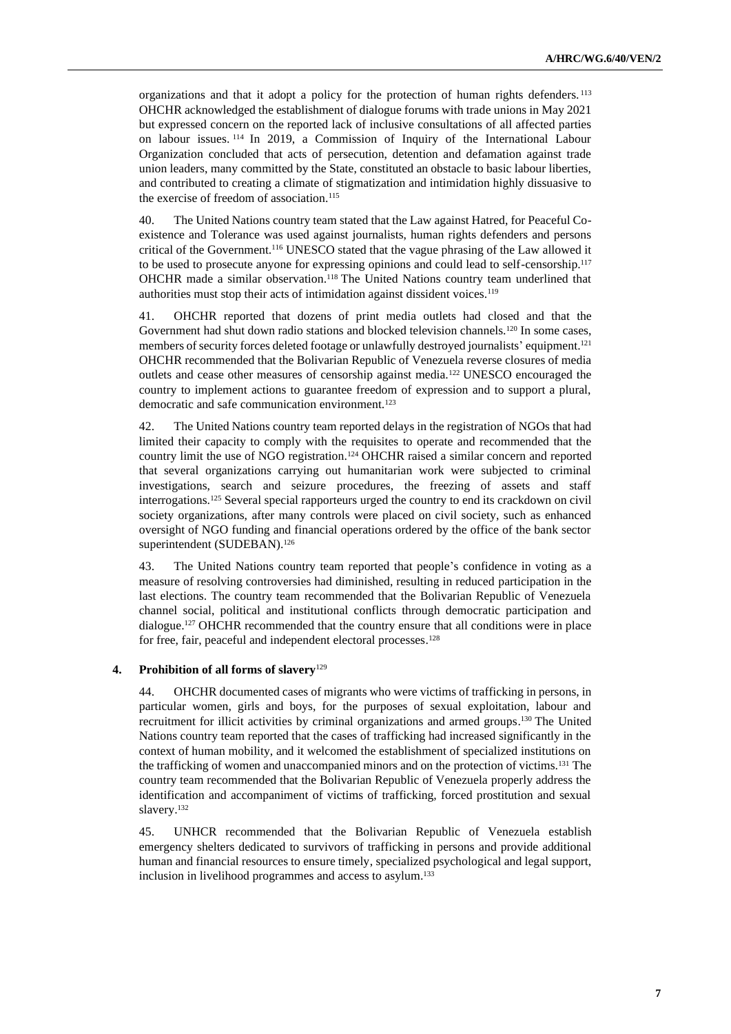organizations and that it adopt a policy for the protection of human rights defenders. <sup>113</sup> OHCHR acknowledged the establishment of dialogue forums with trade unions in May 2021 but expressed concern on the reported lack of inclusive consultations of all affected parties on labour issues. <sup>114</sup> In 2019, a Commission of Inquiry of the International Labour Organization concluded that acts of persecution, detention and defamation against trade union leaders, many committed by the State, constituted an obstacle to basic labour liberties, and contributed to creating a climate of stigmatization and intimidation highly dissuasive to the exercise of freedom of association.<sup>115</sup>

40. The United Nations country team stated that the Law against Hatred, for Peaceful Coexistence and Tolerance was used against journalists, human rights defenders and persons critical of the Government.<sup>116</sup> UNESCO stated that the vague phrasing of the Law allowed it to be used to prosecute anyone for expressing opinions and could lead to self-censorship.<sup>117</sup> OHCHR made a similar observation.<sup>118</sup> The United Nations country team underlined that authorities must stop their acts of intimidation against dissident voices.<sup>119</sup>

41. OHCHR reported that dozens of print media outlets had closed and that the Government had shut down radio stations and blocked television channels.<sup>120</sup> In some cases, members of security forces deleted footage or unlawfully destroyed journalists' equipment.<sup>121</sup> OHCHR recommended that the Bolivarian Republic of Venezuela reverse closures of media outlets and cease other measures of censorship against media.<sup>122</sup> UNESCO encouraged the country to implement actions to guarantee freedom of expression and to support a plural, democratic and safe communication environment.<sup>123</sup>

42. The United Nations country team reported delays in the registration of NGOs that had limited their capacity to comply with the requisites to operate and recommended that the country limit the use of NGO registration.<sup>124</sup> OHCHR raised a similar concern and reported that several organizations carrying out humanitarian work were subjected to criminal investigations, search and seizure procedures, the freezing of assets and staff interrogations.<sup>125</sup> Several special rapporteurs urged the country to end its crackdown on civil society organizations, after many controls were placed on civil society, such as enhanced oversight of NGO funding and financial operations ordered by the office of the bank sector superintendent (SUDEBAN). 126

43. The United Nations country team reported that people's confidence in voting as a measure of resolving controversies had diminished, resulting in reduced participation in the last elections. The country team recommended that the Bolivarian Republic of Venezuela channel social, political and institutional conflicts through democratic participation and dialogue.<sup>127</sup> OHCHR recommended that the country ensure that all conditions were in place for free, fair, peaceful and independent electoral processes. 128

### **4. Prohibition of all forms of slavery**<sup>129</sup>

44. OHCHR documented cases of migrants who were victims of trafficking in persons, in particular women, girls and boys, for the purposes of sexual exploitation, labour and recruitment for illicit activities by criminal organizations and armed groups. <sup>130</sup> The United Nations country team reported that the cases of trafficking had increased significantly in the context of human mobility, and it welcomed the establishment of specialized institutions on the trafficking of women and unaccompanied minors and on the protection of victims.<sup>131</sup> The country team recommended that the Bolivarian Republic of Venezuela properly address the identification and accompaniment of victims of trafficking, forced prostitution and sexual slavery.<sup>132</sup>

45. UNHCR recommended that the Bolivarian Republic of Venezuela establish emergency shelters dedicated to survivors of trafficking in persons and provide additional human and financial resources to ensure timely, specialized psychological and legal support, inclusion in livelihood programmes and access to asylum. 133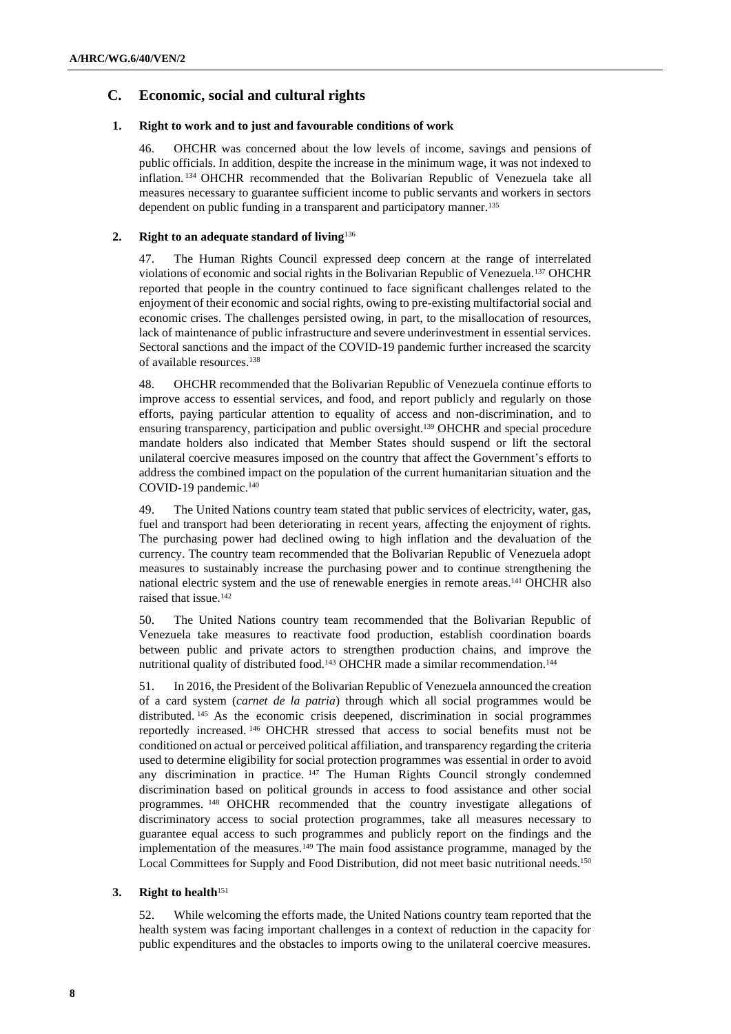### **C. Economic, social and cultural rights**

### **1. Right to work and to just and favourable conditions of work**

46. OHCHR was concerned about the low levels of income, savings and pensions of public officials. In addition, despite the increase in the minimum wage, it was not indexed to inflation. <sup>134</sup> OHCHR recommended that the Bolivarian Republic of Venezuela take all measures necessary to guarantee sufficient income to public servants and workers in sectors dependent on public funding in a transparent and participatory manner.<sup>135</sup>

### **2. Right to an adequate standard of living**<sup>136</sup>

47. The Human Rights Council expressed deep concern at the range of interrelated violations of economic and social rights in the Bolivarian Republic of Venezuela.<sup>137</sup> OHCHR reported that people in the country continued to face significant challenges related to the enjoyment of their economic and social rights, owing to pre-existing multifactorial social and economic crises. The challenges persisted owing, in part, to the misallocation of resources, lack of maintenance of public infrastructure and severe underinvestment in essential services. Sectoral sanctions and the impact of the COVID-19 pandemic further increased the scarcity of available resources.<sup>138</sup>

48. OHCHR recommended that the Bolivarian Republic of Venezuela continue efforts to improve access to essential services, and food, and report publicly and regularly on those efforts, paying particular attention to equality of access and non-discrimination, and to ensuring transparency, participation and public oversight. <sup>139</sup> OHCHR and special procedure mandate holders also indicated that Member States should suspend or lift the sectoral unilateral coercive measures imposed on the country that affect the Government's efforts to address the combined impact on the population of the current humanitarian situation and the COVID-19 pandemic.<sup>140</sup>

49. The United Nations country team stated that public services of electricity, water, gas, fuel and transport had been deteriorating in recent years, affecting the enjoyment of rights. The purchasing power had declined owing to high inflation and the devaluation of the currency. The country team recommended that the Bolivarian Republic of Venezuela adopt measures to sustainably increase the purchasing power and to continue strengthening the national electric system and the use of renewable energies in remote areas.<sup>141</sup> OHCHR also raised that issue.<sup>142</sup>

50. The United Nations country team recommended that the Bolivarian Republic of Venezuela take measures to reactivate food production, establish coordination boards between public and private actors to strengthen production chains, and improve the nutritional quality of distributed food.<sup>143</sup> OHCHR made a similar recommendation.<sup>144</sup>

51. In 2016, the President of the Bolivarian Republic of Venezuela announced the creation of a card system (*carnet de la patria*) through which all social programmes would be distributed. <sup>145</sup> As the economic crisis deepened, discrimination in social programmes reportedly increased. <sup>146</sup> OHCHR stressed that access to social benefits must not be conditioned on actual or perceived political affiliation, and transparency regarding the criteria used to determine eligibility for social protection programmes was essential in order to avoid any discrimination in practice. <sup>147</sup> The Human Rights Council strongly condemned discrimination based on political grounds in access to food assistance and other social programmes. <sup>148</sup> OHCHR recommended that the country investigate allegations of discriminatory access to social protection programmes, take all measures necessary to guarantee equal access to such programmes and publicly report on the findings and the implementation of the measures.<sup>149</sup> The main food assistance programme, managed by the Local Committees for Supply and Food Distribution, did not meet basic nutritional needs.<sup>150</sup>

### **3. Right to health**<sup>151</sup>

52. While welcoming the efforts made, the United Nations country team reported that the health system was facing important challenges in a context of reduction in the capacity for public expenditures and the obstacles to imports owing to the unilateral coercive measures.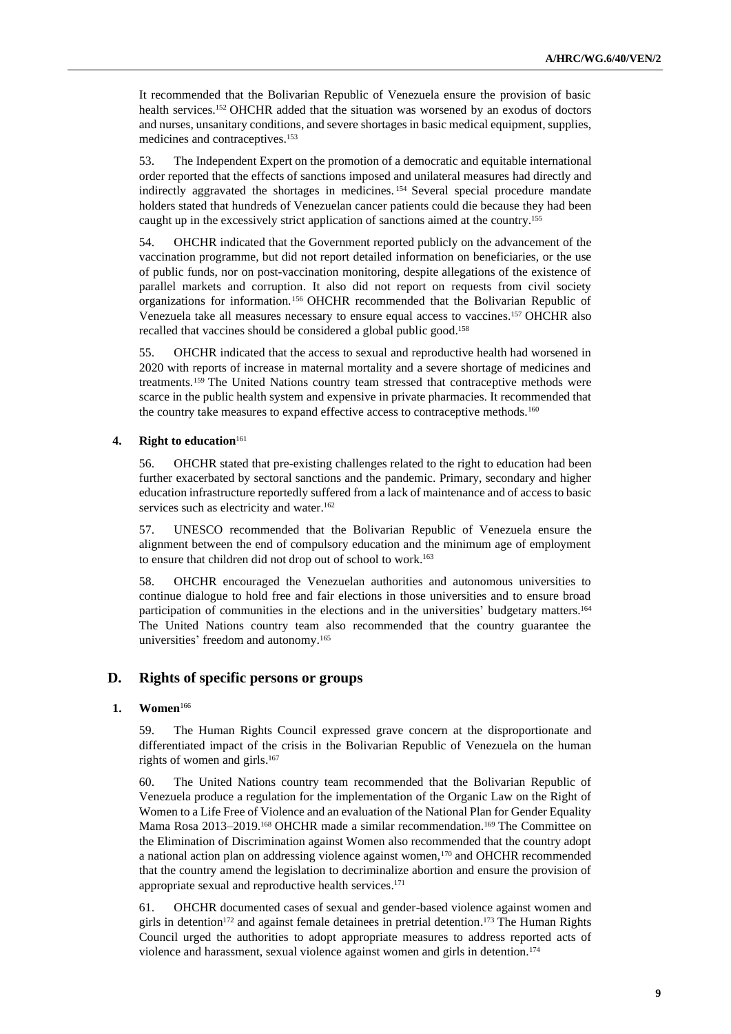It recommended that the Bolivarian Republic of Venezuela ensure the provision of basic health services.<sup>152</sup> OHCHR added that the situation was worsened by an exodus of doctors and nurses, unsanitary conditions, and severe shortages in basic medical equipment, supplies, medicines and contraceptives.<sup>153</sup>

53. The Independent Expert on the promotion of a democratic and equitable international order reported that the effects of sanctions imposed and unilateral measures had directly and indirectly aggravated the shortages in medicines. <sup>154</sup> Several special procedure mandate holders stated that hundreds of Venezuelan cancer patients could die because they had been caught up in the excessively strict application of sanctions aimed at the country.<sup>155</sup>

54. OHCHR indicated that the Government reported publicly on the advancement of the vaccination programme, but did not report detailed information on beneficiaries, or the use of public funds, nor on post-vaccination monitoring, despite allegations of the existence of parallel markets and corruption. It also did not report on requests from civil society organizations for information. <sup>156</sup> OHCHR recommended that the Bolivarian Republic of Venezuela take all measures necessary to ensure equal access to vaccines.<sup>157</sup> OHCHR also recalled that vaccines should be considered a global public good.<sup>158</sup>

55. OHCHR indicated that the access to sexual and reproductive health had worsened in 2020 with reports of increase in maternal mortality and a severe shortage of medicines and treatments.<sup>159</sup> The United Nations country team stressed that contraceptive methods were scarce in the public health system and expensive in private pharmacies. It recommended that the country take measures to expand effective access to contraceptive methods.<sup>160</sup>

### **4. Right to education**<sup>161</sup>

56. OHCHR stated that pre-existing challenges related to the right to education had been further exacerbated by sectoral sanctions and the pandemic. Primary, secondary and higher education infrastructure reportedly suffered from a lack of maintenance and of access to basic services such as electricity and water.<sup>162</sup>

57. UNESCO recommended that the Bolivarian Republic of Venezuela ensure the alignment between the end of compulsory education and the minimum age of employment to ensure that children did not drop out of school to work.<sup>163</sup>

58. OHCHR encouraged the Venezuelan authorities and autonomous universities to continue dialogue to hold free and fair elections in those universities and to ensure broad participation of communities in the elections and in the universities' budgetary matters. 164 The United Nations country team also recommended that the country guarantee the universities' freedom and autonomy.<sup>165</sup>

### **D. Rights of specific persons or groups**

#### **1. Women**<sup>166</sup>

59. The Human Rights Council expressed grave concern at the disproportionate and differentiated impact of the crisis in the Bolivarian Republic of Venezuela on the human rights of women and girls. 167

60. The United Nations country team recommended that the Bolivarian Republic of Venezuela produce a regulation for the implementation of the Organic Law on the Right of Women to a Life Free of Violence and an evaluation of the National Plan for Gender Equality Mama Rosa 2013–2019.<sup>168</sup> OHCHR made a similar recommendation.<sup>169</sup> The Committee on the Elimination of Discrimination against Women also recommended that the country adopt a national action plan on addressing violence against women,<sup>170</sup> and OHCHR recommended that the country amend the legislation to decriminalize abortion and ensure the provision of appropriate sexual and reproductive health services. 171

61. OHCHR documented cases of sexual and gender-based violence against women and girls in detention<sup>172</sup> and against female detainees in pretrial detention.<sup>173</sup> The Human Rights Council urged the authorities to adopt appropriate measures to address reported acts of violence and harassment, sexual violence against women and girls in detention.<sup>174</sup>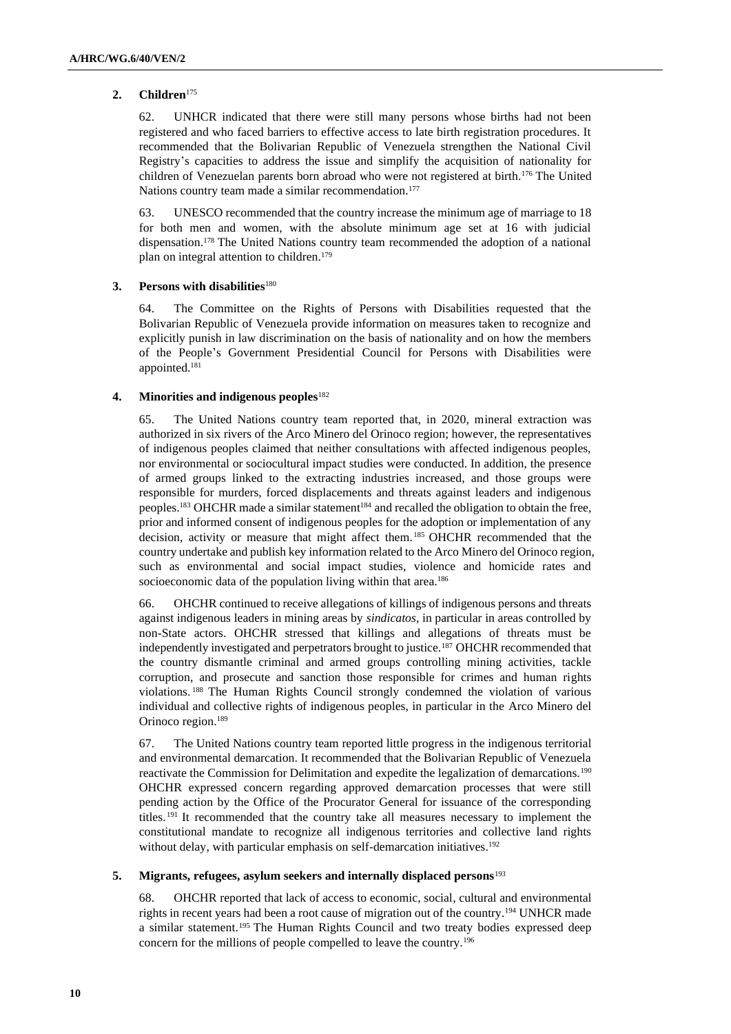### **2. Children**<sup>175</sup>

62. UNHCR indicated that there were still many persons whose births had not been registered and who faced barriers to effective access to late birth registration procedures. It recommended that the Bolivarian Republic of Venezuela strengthen the National Civil Registry's capacities to address the issue and simplify the acquisition of nationality for children of Venezuelan parents born abroad who were not registered at birth.<sup>176</sup> The United Nations country team made a similar recommendation.<sup>177</sup>

63. UNESCO recommended that the country increase the minimum age of marriage to 18 for both men and women, with the absolute minimum age set at 16 with judicial dispensation.<sup>178</sup> The United Nations country team recommended the adoption of a national plan on integral attention to children.<sup>179</sup>

### **3. Persons with disabilities**<sup>180</sup>

64. The Committee on the Rights of Persons with Disabilities requested that the Bolivarian Republic of Venezuela provide information on measures taken to recognize and explicitly punish in law discrimination on the basis of nationality and on how the members of the People's Government Presidential Council for Persons with Disabilities were appointed.<sup>181</sup>

### **4. Minorities and indigenous peoples**<sup>182</sup>

65. The United Nations country team reported that, in 2020, mineral extraction was authorized in six rivers of the Arco Minero del Orinoco region; however, the representatives of indigenous peoples claimed that neither consultations with affected indigenous peoples, nor environmental or sociocultural impact studies were conducted. In addition, the presence of armed groups linked to the extracting industries increased, and those groups were responsible for murders, forced displacements and threats against leaders and indigenous peoples.<sup>183</sup> OHCHR made a similar statement<sup>184</sup> and recalled the obligation to obtain the free, prior and informed consent of indigenous peoples for the adoption or implementation of any decision, activity or measure that might affect them. <sup>185</sup> OHCHR recommended that the country undertake and publish key information related to the Arco Minero del Orinoco region, such as environmental and social impact studies, violence and homicide rates and socioeconomic data of the population living within that area.<sup>186</sup>

66. OHCHR continued to receive allegations of killings of indigenous persons and threats against indigenous leaders in mining areas by *sindicatos*, in particular in areas controlled by non-State actors. OHCHR stressed that killings and allegations of threats must be independently investigated and perpetrators brought to justice.<sup>187</sup> OHCHR recommended that the country dismantle criminal and armed groups controlling mining activities, tackle corruption, and prosecute and sanction those responsible for crimes and human rights violations. <sup>188</sup> The Human Rights Council strongly condemned the violation of various individual and collective rights of indigenous peoples, in particular in the Arco Minero del Orinoco region.<sup>189</sup>

67. The United Nations country team reported little progress in the indigenous territorial and environmental demarcation. It recommended that the Bolivarian Republic of Venezuela reactivate the Commission for Delimitation and expedite the legalization of demarcations.<sup>190</sup> OHCHR expressed concern regarding approved demarcation processes that were still pending action by the Office of the Procurator General for issuance of the corresponding titles. <sup>191</sup> It recommended that the country take all measures necessary to implement the constitutional mandate to recognize all indigenous territories and collective land rights without delay, with particular emphasis on self-demarcation initiatives.<sup>192</sup>

### **5. Migrants, refugees, asylum seekers and internally displaced persons**<sup>193</sup>

68. OHCHR reported that lack of access to economic, social, cultural and environmental rights in recent years had been a root cause of migration out of the country.<sup>194</sup> UNHCR made a similar statement.<sup>195</sup> The Human Rights Council and two treaty bodies expressed deep concern for the millions of people compelled to leave the country.196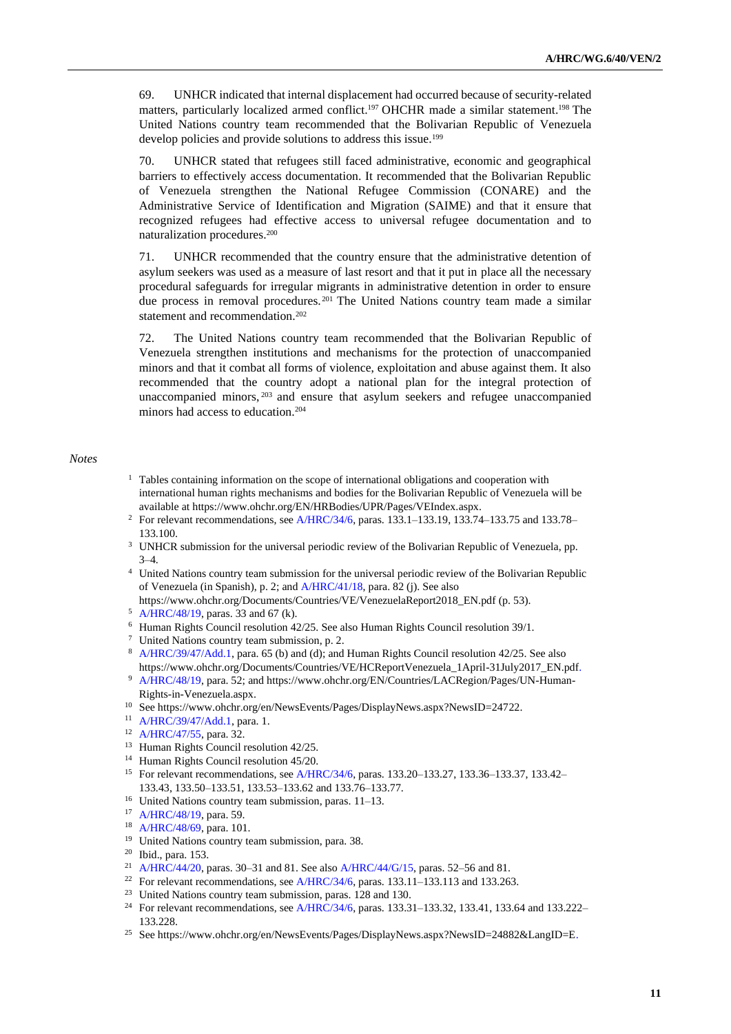69. UNHCR indicated that internal displacement had occurred because of security-related matters, particularly localized armed conflict.<sup>197</sup> OHCHR made a similar statement.<sup>198</sup> The United Nations country team recommended that the Bolivarian Republic of Venezuela develop policies and provide solutions to address this issue.<sup>199</sup>

70. UNHCR stated that refugees still faced administrative, economic and geographical barriers to effectively access documentation. It recommended that the Bolivarian Republic of Venezuela strengthen the National Refugee Commission (CONARE) and the Administrative Service of Identification and Migration (SAIME) and that it ensure that recognized refugees had effective access to universal refugee documentation and to naturalization procedures.<sup>200</sup>

71. UNHCR recommended that the country ensure that the administrative detention of asylum seekers was used as a measure of last resort and that it put in place all the necessary procedural safeguards for irregular migrants in administrative detention in order to ensure due process in removal procedures.<sup>201</sup> The United Nations country team made a similar statement and recommendation.<sup>202</sup>

72. The United Nations country team recommended that the Bolivarian Republic of Venezuela strengthen institutions and mechanisms for the protection of unaccompanied minors and that it combat all forms of violence, exploitation and abuse against them. It also recommended that the country adopt a national plan for the integral protection of unaccompanied minors, <sup>203</sup> and ensure that asylum seekers and refugee unaccompanied minors had access to education.<sup>204</sup>

#### *Notes*

- $1$  Tables containing information on the scope of international obligations and cooperation with international human rights mechanisms and bodies for the Bolivarian Republic of Venezuela will be available at https://www.ohchr.org/EN/HRBodies/UPR/Pages/VEIndex.aspx.
- <sup>2</sup> For relevant recommendations, see [A/HRC/34/6,](http://undocs.org/en/A/HRC/34/6) paras. 133.1–133.19, 133.74–133.75 and 133.78– 133.100.
- <sup>3</sup> UNHCR submission for the universal periodic review of the Bolivarian Republic of Venezuela, pp. 3–4.
- <sup>4</sup> United Nations country team submission for the universal periodic review of the Bolivarian Republic of Venezuela (in Spanish), p. 2; and [A/HRC/41/18,](http://undocs.org/en/A/HRC/41/18) para. 82 (j). See also
- https://www.ohchr.org/Documents/Countries/VE/VenezuelaReport2018\_EN.pdf (p. 53).
- <sup>5</sup> [A/HRC/48/19,](http://undocs.org/en/A/HRC/48/19) paras. 33 and 67 (k).
- $6$  Human Rights Council resolution  $42/25$ . See also Human Rights Council resolution  $39/1$ .
- <sup>7</sup> United Nations country team submission, p. 2.
- 8 [A/HRC/39/47/Add.1,](http://undocs.org/en/A/HRC/39/47/Add.1) para. 65 (b) and (d); and Human Rights Council resolution 42/25. See also https://www.ohchr.org/Documents/Countries/VE/HCReportVenezuela\_1April-31July2017\_EN.pdf.
- <sup>9</sup> [A/HRC/48/19,](http://undocs.org/en/A/HRC/48/19) para. 52; and https://www.ohchr.org/EN/Countries/LACRegion/Pages/UN-Human-Rights-in-Venezuela.aspx.
- <sup>10</sup> See https://www.ohchr.org/en/NewsEvents/Pages/DisplayNews.aspx?NewsID=24722.
- <sup>11</sup> [A/HRC/39/47/Add.1,](http://undocs.org/en/A/HRC/39/47/Add.1) para. 1.
- <sup>12</sup> [A/HRC/47/55,](http://undocs.org/en/A/HRC/47/55) para. 32.
- <sup>13</sup> Human Rights Council resolution 42/25.
- <sup>14</sup> Human Rights Council resolution 45/20.
- <sup>15</sup> For relevant recommendations, see [A/HRC/34/6,](http://undocs.org/en/A/HRC/34/6) paras. 133.20-133.27, 133.36-133.37, 133.42-133.43, 133.50–133.51, 133.53–133.62 and 133.76–133.77.
- <sup>16</sup> United Nations country team submission, paras. 11–13.
- <sup>17</sup> [A/HRC/48/19,](http://undocs.org/en/A/HRC/48/19) para. 59.
- <sup>18</sup> [A/HRC/48/69,](http://undocs.org/en/A/HRC/48/69) para. 101.
- <sup>19</sup> United Nations country team submission, para. 38.
- <sup>20</sup> Ibid., para. 153.
- <sup>21</sup> [A/HRC/44/20,](http://undocs.org/en/A/HRC/44/20) paras. 30–31 and 81. See also [A/HRC/44/G/15,](http://undocs.org/en/A/HRC/44/G/15) paras. 52–56 and 81.
- <sup>22</sup> For relevant recommendations, se[e A/HRC/34/6,](http://undocs.org/en/A/HRC/34/6) paras. 133.11–133.113 and 133.263.
- <sup>23</sup> United Nations country team submission, paras. 128 and 130.
- <sup>24</sup> For relevant recommendations, se[e A/HRC/34/6,](http://undocs.org/en/A/HRC/34/6) paras. 133.31–133.32, 133.41, 133.64 and 133.222– 133.228.
- <sup>25</sup> See https://www.ohchr.org/en/NewsEvents/Pages/DisplayNews.aspx?NewsID=24882&LangID=E.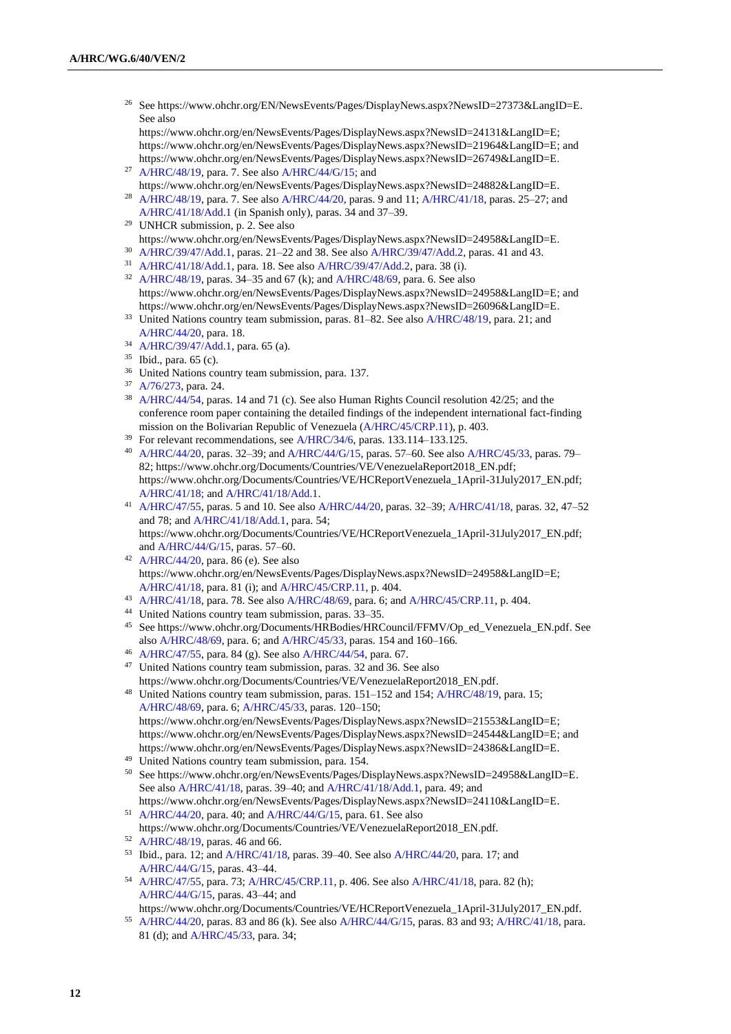<sup>26</sup> See https://www.ohchr.org/EN/NewsEvents/Pages/DisplayNews.aspx?NewsID=27373&LangID=E. See also

https://www.ohchr.org/en/NewsEvents/Pages/DisplayNews.aspx?NewsID=24131&LangID=E; https://www.ohchr.org/en/NewsEvents/Pages/DisplayNews.aspx?NewsID=21964&LangID=E; and https://www.ohchr.org/en/NewsEvents/Pages/DisplayNews.aspx?NewsID=26749&LangID=E.

- <sup>27</sup> [A/HRC/48/19,](http://undocs.org/en/A/HRC/48/19) para. 7. See als[o A/HRC/44/G/15;](http://undocs.org/en/A/HRC/44/G/15;) and https://www.ohchr.org/en/NewsEvents/Pages/DisplayNews.aspx?NewsID=24882&LangID=E.
- <sup>28</sup> [A/HRC/48/19,](http://undocs.org/en/A/HRC/48/19) para. 7. See als[o A/HRC/44/20,](http://undocs.org/en/A/HRC/44/20) paras. 9 and 11; [A/HRC/41/18,](http://undocs.org/en/A/HRC/41/18) paras. 25-27; and [A/HRC/41/18/Add.1](http://undocs.org/en/A/HRC/41/18/Add.1) (in Spanish only), paras. 34 and 37–39.
- <sup>29</sup> UNHCR submission, p. 2. See also https://www.ohchr.org/en/NewsEvents/Pages/DisplayNews.aspx?NewsID=24958&LangID=E.
- <sup>30</sup> [A/HRC/39/47/Add.1,](http://undocs.org/en/A/HRC/39/47/Add.1) paras. 21–22 and 38. See also [A/HRC/39/47/Add.2,](https://undocs.org/en/A/HRC/39/47/Add.2) paras. 41 and 43.
- <sup>31</sup> [A/HRC/41/18/Add.1,](http://undocs.org/en/A/HRC/41/18/Add.1) para. 18. See als[o A/HRC/39/47/Add.2,](http://undocs.org/en/A/HRC/39/47/Add.2) para. 38 (i).
- <sup>32</sup> [A/HRC/48/19,](http://undocs.org/en/A/HRC/48/19) paras.  $34-35$  and 67 (k); an[d A/HRC/48/69,](http://undocs.org/en/A/HRC/48/69) para. 6. See also https://www.ohchr.org/en/NewsEvents/Pages/DisplayNews.aspx?NewsID=24958&LangID=E; and https://www.ohchr.org/en/NewsEvents/Pages/DisplayNews.aspx?NewsID=26096&LangID=E.
- <sup>33</sup> United Nations country team submission, paras. 81–82. See als[o A/HRC/48/19,](http://undocs.org/en/A/HRC/48/19) para. 21; and [A/HRC/44/20,](http://undocs.org/en/A/HRC/44/20) para. 18.
- <sup>34</sup> [A/HRC/39/47/Add.1,](http://undocs.org/en/A/HRC/39/47/Add.1) para. 65 (a).
- <sup>35</sup> Ibid., para. 65 (c).
- <sup>36</sup> United Nations country team submission, para. 137.
- <sup>37</sup> [A/76/273,](http://undocs.org/en/A/76/273) para. 24.
- <sup>38</sup> [A/HRC/44/54,](http://undocs.org/en/A/HRC/44/54) paras. 14 and 71 (c). See also Human Rights Council resolution 42/25; and the conference room paper containing the detailed findings of the independent international fact-finding mission on the Bolivarian Republic of Venezuela [\(A/HRC/45/CRP.11\)](http://undocs.org/en/A/HRC/45/CRP.11), p. 403.
- <sup>39</sup> For relevant recommendations, see [A/HRC/34/6,](http://undocs.org/en/A/HRC/34/6) paras. 133.114–133.125.
- <sup>40</sup> [A/HRC/44/20,](http://undocs.org/en/A/HRC/44/20) paras. 32–39; and [A/HRC/44/G/15,](http://undocs.org/en/A/HRC/44/G/15) paras. 57–60. See also [A/HRC/45/33,](http://undocs.org/en/A/HRC/45/33) paras. 79– 82; https://www.ohchr.org/Documents/Countries/VE/VenezuelaReport2018\_EN.pdf; https://www.ohchr.org/Documents/Countries/VE/HCReportVenezuela\_1April-31July2017\_EN.pdf; [A/HRC/41/18;](http://undocs.org/en/A/HRC/41/18;) and [A/HRC/41/18/Add.1.](http://undocs.org/en/A/HRC/41/18/Add.1)
- <sup>41</sup> [A/HRC/47/55,](http://undocs.org/en/A/HRC/47/55) paras. 5 and 10. See als[o A/HRC/44/20,](http://undocs.org/en/A/HRC/44/20) paras. 32–39; [A/HRC/41/18,](http://undocs.org/en/A/HRC/41/18) paras. 32, 47–52 and 78; an[d A/HRC/41/18/Add.1,](http://undocs.org/en/A/HRC/41/18/Add.1) para. 54; https://www.ohchr.org/Documents/Countries/VE/HCReportVenezuela\_1April-31July2017\_EN.pdf; an[d A/HRC/44/G/15,](http://undocs.org/en/A/HRC/44/G/15) paras. 57–60.
- <sup>42</sup> [A/HRC/44/20,](http://undocs.org/en/A/HRC/44/20) para. 86 (e). See also https://www.ohchr.org/en/NewsEvents/Pages/DisplayNews.aspx?NewsID=24958&LangID=E; [A/HRC/41/18,](http://undocs.org/en/A/HRC/41/18) para. 81 (i); and [A/HRC/45/CRP.11,](http://undocs.org/en/A/HRC/45/CRP.11) p. 404.
- <sup>43</sup> [A/HRC/41/18,](http://undocs.org/en/A/HRC/41/18) para. 78. See also [A/HRC/48/69,](http://undocs.org/en/A/HRC/48/69) para. 6; an[d A/HRC/45/CRP.11,](http://undocs.org/en/A/HRC/45/CRP.11) p. 404.
- <sup>44</sup> United Nations country team submission, paras. 33–35.
- <sup>45</sup> See https://www.ohchr.org/Documents/HRBodies/HRCouncil/FFMV/Op\_ed\_Venezuela\_EN.pdf. See also [A/HRC/48/69,](http://undocs.org/en/A/HRC/48/69) para. 6; an[d A/HRC/45/33,](http://undocs.org/en/A/HRC/45/33) paras. 154 and 160–166.
- <sup>46</sup> [A/HRC/47/55,](http://undocs.org/en/A/HRC/47/55) para. 84 (g). See als[o A/HRC/44/54,](http://undocs.org/en/A/HRC/44/54) para. 67.
- <sup>47</sup> United Nations country team submission, paras. 32 and 36. See also https://www.ohchr.org/Documents/Countries/VE/VenezuelaReport2018\_EN.pdf.

<sup>48</sup> United Nations country team submission, paras. 151–152 and 154[; A/HRC/48/19,](http://undocs.org/en/A/HRC/48/19) para. 15; [A/HRC/48/69,](http://undocs.org/en/A/HRC/48/69) para. 6; [A/HRC/45/33,](http://undocs.org/en/A/HRC/45/33) paras. 120–150; https://www.ohchr.org/en/NewsEvents/Pages/DisplayNews.aspx?NewsID=21553&LangID=E; https://www.ohchr.org/en/NewsEvents/Pages/DisplayNews.aspx?NewsID=24544&LangID=E; and https://www.ohchr.org/en/NewsEvents/Pages/DisplayNews.aspx?NewsID=24386&LangID=E.

- <sup>49</sup> United Nations country team submission, para. 154.
- <sup>50</sup> See https://www.ohchr.org/en/NewsEvents/Pages/DisplayNews.aspx?NewsID=24958&LangID=E. See also [A/HRC/41/18,](http://undocs.org/en/A/HRC/41/18) paras. 39–40; an[d A/HRC/41/18/Add.1,](http://undocs.org/en/A/HRC/41/18/Add.1) para. 49; and https://www.ohchr.org/en/NewsEvents/Pages/DisplayNews.aspx?NewsID=24110&LangID=E.
- <sup>51</sup> [A/HRC/44/20,](http://undocs.org/en/A/HRC/44/20) para. 40; and [A/HRC/44/G/15,](http://undocs.org/en/A/HRC/44/G/15) para. 61. See also https://www.ohchr.org/Documents/Countries/VE/VenezuelaReport2018\_EN.pdf.
- <sup>52</sup> [A/HRC/48/19,](http://undocs.org/en/A/HRC/48/19) paras. 46 and 66.
- 53 Ibid., para. 12; and  $A/HRC/41/18$ , paras. 39–40. See also  $A/HRC/44/20$ , para. 17; and [A/HRC/44/G/15,](http://undocs.org/en/A/HRC/44/G/15) paras. 43–44.
- <sup>54</sup> [A/HRC/47/55,](http://undocs.org/en/A/HRC/47/55) para. 73; [A/HRC/45/CRP.11,](http://undocs.org/en/A/HRC/45/CRP.11) p. 406. See als[o A/HRC/41/18,](http://undocs.org/en/A/HRC/41/18) para. 82 (h); [A/HRC/44/G/15,](http://undocs.org/en/A/HRC/44/G/15) paras. 43–44; and
- https://www.ohchr.org/Documents/Countries/VE/HCReportVenezuela\_1April-31July2017\_EN.pdf. <sup>55</sup> [A/HRC/44/20,](http://undocs.org/en/A/HRC/44/20) paras. 83 and 86 (k). See als[o A/HRC/44/G/15,](http://undocs.org/en/A/HRC/44/G/15) paras. 83 and 93[; A/HRC/41/18,](http://undocs.org/en/A/HRC/41/18) para. 81 (d); and [A/HRC/45/33,](http://undocs.org/en/A/HRC/45/33) para. 34;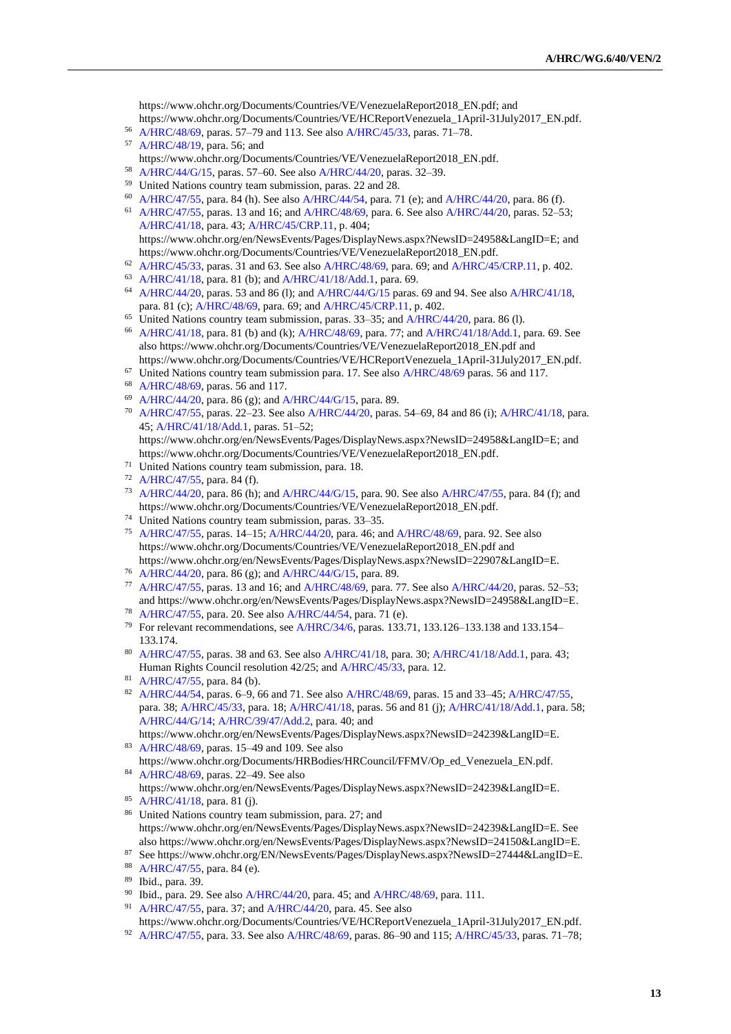https://www.ohchr.org/Documents/Countries/VE/VenezuelaReport2018\_EN.pdf; and https://www.ohchr.org/Documents/Countries/VE/HCReportVenezuela\_1April-31July2017\_EN.pdf.

- <sup>56</sup> [A/HRC/48/69,](http://undocs.org/en/A/HRC/48/69) paras. 57–79 and 113. See also [A/HRC/45/33,](http://undocs.org/en/A/HRC/45/33) paras. 71–78.
- <sup>57</sup> [A/HRC/48/19,](http://undocs.org/en/A/HRC/48/19) para. 56; and https://www.ohchr.org/Documents/Countries/VE/VenezuelaReport2018\_EN.pdf.
- <sup>58</sup> [A/HRC/44/G/15,](http://undocs.org/en/A/HRC/44/G/15) paras. 57–60. See also [A/HRC/44/20,](http://undocs.org/en/A/HRC/44/20) paras. 32–39.
- <sup>59</sup> United Nations country team submission, paras. 22 and 28.
- <sup>60</sup> [A/HRC/47/55,](http://undocs.org/en/A/HRC/47/55) para. 84 (h). See als[o A/HRC/44/54,](http://undocs.org/en/A/HRC/44/54) para. 71 (e); and [A/HRC/44/20,](http://undocs.org/en/A/HRC/44/20) para. 86 (f).
- <sup>61</sup> [A/HRC/47/55,](http://undocs.org/en/A/HRC/47/55) paras. 13 and 16; an[d A/HRC/48/69,](http://undocs.org/en/A/HRC/48/69) para. 6. See als[o A/HRC/44/20,](http://undocs.org/en/A/HRC/44/20) paras. 52–53; [A/HRC/41/18,](http://undocs.org/en/A/HRC/41/18) para. 43; [A/HRC/45/CRP.11,](http://undocs.org/en/A/HRC/45/CRP.11) p. 404; https://www.ohchr.org/en/NewsEvents/Pages/DisplayNews.aspx?NewsID=24958&LangID=E; and

https://www.ohchr.org/Documents/Countries/VE/VenezuelaReport2018\_EN.pdf.

- <sup>62</sup> [A/HRC/45/33,](http://undocs.org/en/A/HRC/45/33) paras. 31 and 63. See also [A/HRC/48/69,](http://undocs.org/en/A/HRC/48/69) para. 69; and [A/HRC/45/CRP.11,](http://undocs.org/en/A/HRC/45/CRP.11) p. 402.
- <sup>63</sup> [A/HRC/41/18,](http://undocs.org/en/A/HRC/41/18) para. 81 (b); and [A/HRC/41/18/Add.1,](http://undocs.org/en/A/HRC/41/18/Add.1) para. 69.
- <sup>64</sup> [A/HRC/44/20,](http://undocs.org/en/A/HRC/44/20) paras. 53 and 86 (l); and [A/HRC/44/G/15](http://undocs.org/en/A/HRC/44/G/15) paras. 69 and 94. See als[o A/HRC/41/18,](http://undocs.org/en/A/HRC/41/18) para. 81 (c)[; A/HRC/48/69,](http://undocs.org/en/A/HRC/48/69) para. 69; an[d A/HRC/45/CRP.11,](http://undocs.org/en/A/HRC/45/CRP.11) p. 402.
- $65$  United Nations country team submission, paras. 33–35; and [A/HRC/44/20,](http://undocs.org/en/A/HRC/44/20) para. 86 (l).
- <sup>66</sup> [A/HRC/41/18,](http://undocs.org/en/A/HRC/41/18) para. 81 (b) and (k); [A/HRC/48/69,](http://undocs.org/en/A/HRC/48/69) para. 77; and [A/HRC/41/18/Add.1,](http://undocs.org/en/A/HRC/41/18/Add.1) para. 69. See also https://www.ohchr.org/Documents/Countries/VE/VenezuelaReport2018\_EN.pdf and https://www.ohchr.org/Documents/Countries/VE/HCReportVenezuela\_1April-31July2017\_EN.pdf.
- $67$  United Nations country team submission para. 17. See also  $A/HRC/48/69$  paras. 56 and 117.
- <sup>68</sup> [A/HRC/48/69,](http://undocs.org/en/A/HRC/48/69) paras. 56 and 117.
- <sup>69</sup> [A/HRC/44/20,](http://undocs.org/en/A/HRC/44/20) para. 86 (g); and [A/HRC/44/G/15,](http://undocs.org/en/A/HRC/44/G/15) para. 89.
- <sup>70</sup> [A/HRC/47/55,](http://undocs.org/en/A/HRC/47/55) paras. 22–23. See also [A/HRC/44/20,](http://undocs.org/en/A/HRC/44/20) paras. 54–69, 84 and 86 (i)[; A/HRC/41/18,](http://undocs.org/en/A/HRC/41/18) para. 45; [A/HRC/41/18/Add.1,](http://undocs.org/en/A/HRC/41/18/Add.1) paras. 51–52;

https://www.ohchr.org/en/NewsEvents/Pages/DisplayNews.aspx?NewsID=24958&LangID=E; and https://www.ohchr.org/Documents/Countries/VE/VenezuelaReport2018\_EN.pdf.

- <sup>71</sup> United Nations country team submission, para. 18.
- <sup>72</sup> [A/HRC/47/55,](http://undocs.org/en/A/HRC/47/55) para. 84 (f).
- <sup>73</sup> [A/HRC/44/20,](http://undocs.org/en/A/HRC/44/20) para. 86 (h); and [A/HRC/44/G/15,](http://undocs.org/en/A/HRC/44/G/15) para. 90. See als[o A/HRC/47/55,](http://undocs.org/en/A/HRC/47/55) para. 84 (f); and https://www.ohchr.org/Documents/Countries/VE/VenezuelaReport2018\_EN.pdf.
- <sup>74</sup> United Nations country team submission, paras. 33–35.
- <sup>75</sup> [A/HRC/47/55,](http://undocs.org/en/A/HRC/47/55) paras. 14–15; [A/HRC/44/20,](http://undocs.org/en/A/HRC/44/20) para. 46; and [A/HRC/48/69,](http://undocs.org/en/A/HRC/48/69) para. 92. See also https://www.ohchr.org/Documents/Countries/VE/VenezuelaReport2018\_EN.pdf and https://www.ohchr.org/en/NewsEvents/Pages/DisplayNews.aspx?NewsID=22907&LangID=E.
- <sup>76</sup> [A/HRC/44/20,](http://undocs.org/en/A/HRC/44/20) para. 86 (g); and [A/HRC/44/G/15,](http://undocs.org/en/A/HRC/44/G/15) para. 89.
- <sup>77</sup> [A/HRC/47/55,](http://undocs.org/en/A/HRC/47/55) paras. 13 and 16; an[d A/HRC/48/69,](http://undocs.org/en/A/HRC/48/69) para. 77. See also [A/HRC/44/20,](http://undocs.org/en/A/HRC/44/20) paras. 52–53; and https://www.ohchr.org/en/NewsEvents/Pages/DisplayNews.aspx?NewsID=24958&LangID=E.
- <sup>78</sup> [A/HRC/47/55,](http://undocs.org/en/A/HRC/47/55) para. 20. See also [A/HRC/44/54,](http://undocs.org/en/A/HRC/44/54) para. 71 (e).
- <sup>79</sup> For relevant recommendations, se[e A/HRC/34/6,](http://undocs.org/en/A/HRC/34/6) paras. 133.71, 133.126–133.138 and 133.154– 133.174.
- <sup>80</sup> [A/HRC/47/55,](http://undocs.org/en/A/HRC/47/55) paras. 38 and 63. See also [A/HRC/41/18,](http://undocs.org/en/A/HRC/41/18) para. 30[; A/HRC/41/18/Add.1,](http://undocs.org/en/A/HRC/41/18/Add.1) para. 43; Human Rights Council resolution 42/25; and [A/HRC/45/33,](http://undocs.org/en/A/HRC/45/33) para. 12.
- <sup>81</sup> [A/HRC/47/55,](http://undocs.org/en/A/HRC/47/55) para. 84 (b).
- 82 [A/HRC/44/54,](http://undocs.org/en/A/HRC/44/54) paras. 6–9, 66 and 71. See also [A/HRC/48/69,](http://undocs.org/en/A/HRC/48/69) paras. 15 and 33–45[; A/HRC/47/55,](http://undocs.org/en/A/HRC/47/55) para. 38; [A/HRC/45/33,](http://undocs.org/en/A/HRC/45/33) para. 18; [A/HRC/41/18,](http://undocs.org/en/A/HRC/41/18) paras. 56 and 81 (j)[; A/HRC/41/18/Add.1,](http://undocs.org/en/A/HRC/41/18/Add.1) para. 58; [A/HRC/44/G/14;](https://undocs.org/en/A/HRC/44/G/14) [A/HRC/39/47/Add.2,](http://undocs.org/en/A/HRC/39/47/Add.2) para. 40; and
- https://www.ohchr.org/en/NewsEvents/Pages/DisplayNews.aspx?NewsID=24239&LangID=E. <sup>83</sup> [A/HRC/48/69,](http://undocs.org/en/A/HRC/48/69) paras. 15–49 and 109. See also
- https://www.ohchr.org/Documents/HRBodies/HRCouncil/FFMV/Op\_ed\_Venezuela\_EN.pdf. <sup>84</sup> [A/HRC/48/69,](http://undocs.org/en/A/HRC/48/69) paras. 22–49. See also
- https://www.ohchr.org/en/NewsEvents/Pages/DisplayNews.aspx?NewsID=24239&LangID=E.
- <sup>85</sup> [A/HRC/41/18,](http://undocs.org/en/A/HRC/41/18) para. 81 (j).
- <sup>86</sup> United Nations country team submission, para. 27; and https://www.ohchr.org/en/NewsEvents/Pages/DisplayNews.aspx?NewsID=24239&LangID=E. See also https://www.ohchr.org/en/NewsEvents/Pages/DisplayNews.aspx?NewsID=24150&LangID=E.
- <sup>87</sup> See https://www.ohchr.org/EN/NewsEvents/Pages/DisplayNews.aspx?NewsID=27444&LangID=E. <sup>88</sup> [A/HRC/47/55,](http://undocs.org/en/A/HRC/47/55) para. 84 (e).
- <sup>89</sup> Ibid., para. 39.
- <sup>90</sup> Ibid., para. 29. See also [A/HRC/44/20,](http://undocs.org/en/A/HRC/44/20) para. 45; and [A/HRC/48/69,](http://undocs.org/en/A/HRC/48/69) para. 111.
- <sup>91</sup> [A/HRC/47/55,](http://undocs.org/en/A/HRC/47/55) para. 37; an[d A/HRC/44/20,](http://undocs.org/en/A/HRC/44/20) para. 45. See also https://www.ohchr.org/Documents/Countries/VE/HCReportVenezuela\_1April-31July2017\_EN.pdf.
- <sup>92</sup> [A/HRC/47/55,](http://undocs.org/en/A/HRC/47/55) para. 33. See also [A/HRC/48/69,](http://undocs.org/en/A/HRC/48/69) paras. 86–90 and 115[; A/HRC/45/33,](http://undocs.org/en/A/HRC/45/33) paras. 71–78;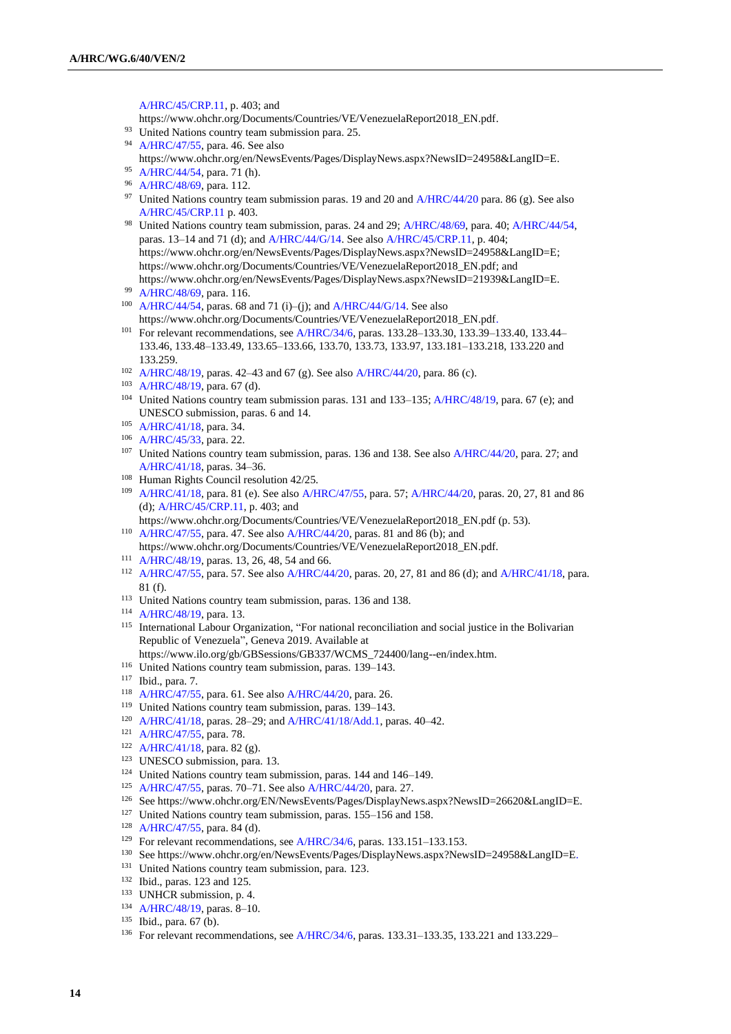[A/HRC/45/CRP.11,](http://undocs.org/en/A/HRC/45/CRP.11) p. 403; and

https://www.ohchr.org/Documents/Countries/VE/VenezuelaReport2018\_EN.pdf.

- <sup>93</sup> United Nations country team submission para. 25.
- <sup>94</sup> [A/HRC/47/55,](http://undocs.org/en/A/HRC/47/55) para. 46. See also https://www.ohchr.org/en/NewsEvents/Pages/DisplayNews.aspx?NewsID=24958&LangID=E.
- <sup>95</sup> [A/HRC/44/54,](http://undocs.org/en/A/HRC/44/54) para. 71 (h).
- <sup>96</sup> [A/HRC/48/69,](http://undocs.org/en/A/HRC/48/69) para. 112.
- <sup>97</sup> United Nations country team submission paras. 19 and 20 and [A/HRC/44/20](http://undocs.org/en/A/HRC/44/20) para. 86 (g). See also [A/HRC/45/CRP.11](http://undocs.org/en/A/HRC/45/CRP.11) p. 403.
- <sup>98</sup> United Nations country team submission, paras. 24 and 29[; A/HRC/48/69,](http://undocs.org/en/A/HRC/48/69) para. 40[; A/HRC/44/54,](http://undocs.org/en/A/HRC/44/54) paras. 13–14 and 71 (d); and [A/HRC/44/G/14.](http://undocs.org/en/A/HRC/44/G/14) See als[o A/HRC/45/CRP.11,](http://undocs.org/en/A/HRC/45/CRP.11) p. 404; https://www.ohchr.org/en/NewsEvents/Pages/DisplayNews.aspx?NewsID=24958&LangID=E; https://www.ohchr.org/Documents/Countries/VE/VenezuelaReport2018\_EN.pdf; and https://www.ohchr.org/en/NewsEvents/Pages/DisplayNews.aspx?NewsID=21939&LangID=E.
- <sup>99</sup> [A/HRC/48/69,](http://undocs.org/en/A/HRC/48/69) para. 116.
- <sup>100</sup> [A/HRC/44/54,](http://undocs.org/en/A/HRC/44/54) paras. 68 and 71 (i)–(j); and [A/HRC/44/G/14.](http://undocs.org/en/A/HRC/44/G/14) See also https://www.ohchr.org/Documents/Countries/VE/VenezuelaReport2018\_EN.pdf.
- <sup>101</sup> For relevant recommendations, se[e A/HRC/34/6,](http://undocs.org/en/A/HRC/34/6) paras. 133.28–133.30, 133.39–133.40, 133.44– 133.46, 133.48–133.49, 133.65–133.66, 133.70, 133.73, 133.97, 133.181–133.218, 133.220 and 133.259.
- <sup>102</sup> [A/HRC/48/19,](http://undocs.org/en/A/HRC/48/19) paras. 42–43 and 67 (g). See also [A/HRC/44/20,](http://undocs.org/en/A/HRC/44/20) para. 86 (c).
- <sup>103</sup> [A/HRC/48/19,](http://undocs.org/en/A/HRC/48/19) para. 67 (d).
- <sup>104</sup> United Nations country team submission paras. 131 and 133–135[; A/HRC/48/19,](http://undocs.org/en/A/HRC/48/19) para. 67 (e); and UNESCO submission, paras. 6 and 14.
- <sup>105</sup> [A/HRC/41/18,](http://undocs.org/en/A/HRC/41/18) para. 34.
- <sup>106</sup> [A/HRC/45/33,](http://undocs.org/en/A/HRC/45/33) para. 22.
- <sup>107</sup> United Nations country team submission, paras. 136 and 138. See als[o A/HRC/44/20,](http://undocs.org/en/A/HRC/44/20) para. 27; and [A/HRC/41/18,](http://undocs.org/en/A/HRC/41/18) paras. 34–36.
- <sup>108</sup> Human Rights Council resolution 42/25.
- <sup>109</sup> [A/HRC/41/18,](http://undocs.org/en/A/HRC/41/18) para. 81 (e). See also [A/HRC/47/55,](http://undocs.org/en/A/HRC/47/55) para. 57; [A/HRC/44/20,](http://undocs.org/en/A/HRC/44/20) paras. 20, 27, 81 and 86 (d); [A/HRC/45/CRP.11,](http://undocs.org/en/A/HRC/45/CRP.11) p. 403; and
- https://www.ohchr.org/Documents/Countries/VE/VenezuelaReport2018\_EN.pdf (p. 53). <sup>110</sup> [A/HRC/47/55,](http://undocs.org/en/A/HRC/47/55) para. 47. See also [A/HRC/44/20,](http://undocs.org/en/A/HRC/44/20) paras. 81 and 86 (b); and
- https://www.ohchr.org/Documents/Countries/VE/VenezuelaReport2018\_EN.pdf.
- <sup>111</sup> [A/HRC/48/19,](http://undocs.org/en/A/HRC/48/19) paras. 13, 26, 48, 54 and 66.
- <sup>112</sup> [A/HRC/47/55,](http://undocs.org/en/A/HRC/47/55) para. 57. See also [A/HRC/44/20,](http://undocs.org/en/A/HRC/44/20) paras. 20, 27, 81 and 86 (d); an[d A/HRC/41/18,](http://undocs.org/en/A/HRC/41/18) para. 81 (f).
- <sup>113</sup> United Nations country team submission, paras. 136 and 138.
- <sup>114</sup> [A/HRC/48/19,](http://undocs.org/en/A/HRC/48/19) para. 13.
- <sup>115</sup> International Labour Organization, "For national reconciliation and social justice in the Bolivarian Republic of Venezuela", Geneva 2019. Available at
- https://www.ilo.org/gb/GBSessions/GB337/WCMS\_724400/lang--en/index.htm.
- <sup>116</sup> United Nations country team submission, paras. 139–143.
- <sup>117</sup> Ibid., para. 7.
- <sup>118</sup> [A/HRC/47/55,](http://undocs.org/en/A/HRC/47/55) para. 61. See also [A/HRC/44/20,](http://undocs.org/en/A/HRC/44/20) para. 26.
- <sup>119</sup> United Nations country team submission, paras. 139–143.
- <sup>120</sup> [A/HRC/41/18,](http://undocs.org/en/A/HRC/41/18) paras. 28–29; an[d A/HRC/41/18/Add.1,](http://undocs.org/en/A/HRC/41/18/Add.1) paras. 40–42.
- <sup>121</sup> [A/HRC/47/55,](http://undocs.org/en/A/HRC/47/55) para. 78.
- <sup>122</sup> [A/HRC/41/18,](http://undocs.org/en/A/HRC/41/18) para. 82 (g).
- <sup>123</sup> UNESCO submission, para. 13.
- <sup>124</sup> United Nations country team submission, paras. 144 and 146–149.
- <sup>125</sup> [A/HRC/47/55,](http://undocs.org/en/A/HRC/47/55) paras. 70–71. See also [A/HRC/44/20,](http://undocs.org/en/A/HRC/44/20) para. 27.
- <sup>126</sup> See https://www.ohchr.org/EN/NewsEvents/Pages/DisplayNews.aspx?NewsID=26620&LangID=E.
- <sup>127</sup> United Nations country team submission, paras. 155–156 and 158.
- <sup>128</sup> [A/HRC/47/55,](http://undocs.org/en/A/HRC/47/55) para. 84 (d).
- <sup>129</sup> For relevant recommendations, se[e A/HRC/34/6,](http://undocs.org/en/A/HRC/34/6) paras. 133.151–133.153.
- <sup>130</sup> See https://www.ohchr.org/en/NewsEvents/Pages/DisplayNews.aspx?NewsID=24958&LangID=E.
- <sup>131</sup> United Nations country team submission, para. 123.
- <sup>132</sup> Ibid., paras. 123 and 125.
- <sup>133</sup> UNHCR submission, p. 4.
- <sup>134</sup> [A/HRC/48/19,](http://undocs.org/en/A/HRC/48/19) paras. 8–10.
- <sup>135</sup> Ibid., para. 67 (b).
- <sup>136</sup> For relevant recommendations, se[e A/HRC/34/6,](http://undocs.org/en/A/HRC/34/6) paras. 133.31–133.35, 133.221 and 133.229–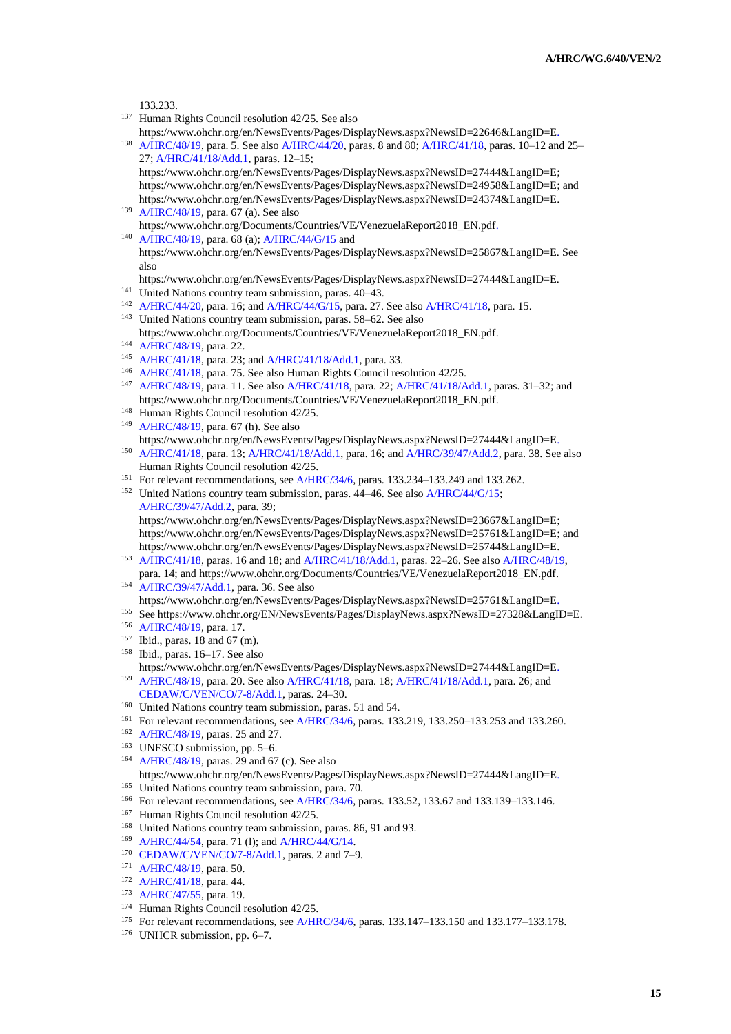133.233

- <sup>137</sup> Human Rights Council resolution 42/25. See also https://www.ohchr.org/en/NewsEvents/Pages/DisplayNews.aspx?NewsID=22646&LangID=E.
- <sup>138</sup> [A/HRC/48/19,](http://undocs.org/en/A/HRC/48/19) para. 5. See als[o A/HRC/44/20,](http://undocs.org/en/A/HRC/44/20) paras. 8 and 80[; A/HRC/41/18,](http://undocs.org/en/A/HRC/41/18) paras. 10–12 and 25– 27; [A/HRC/41/18/Add.1,](http://undocs.org/en/A/HRC/41/18/Add.1) paras. 12–15;

https://www.ohchr.org/en/NewsEvents/Pages/DisplayNews.aspx?NewsID=27444&LangID=E; https://www.ohchr.org/en/NewsEvents/Pages/DisplayNews.aspx?NewsID=24958&LangID=E; and https://www.ohchr.org/en/NewsEvents/Pages/DisplayNews.aspx?NewsID=24374&LangID=E.

<sup>139</sup> [A/HRC/48/19,](http://undocs.org/en/A/HRC/48/19) para. 67 (a). See also https://www.ohchr.org/Documents/Countries/VE/VenezuelaReport2018\_EN.pdf. <sup>140</sup> [A/HRC/48/19,](http://undocs.org/en/A/HRC/48/19) para. 68 (a); [A/HRC/44/G/15](http://undocs.org/en/A/HRC/44/G/15) and

https://www.ohchr.org/en/NewsEvents/Pages/DisplayNews.aspx?NewsID=25867&LangID=E. See also

- https://www.ohchr.org/en/NewsEvents/Pages/DisplayNews.aspx?NewsID=27444&LangID=E.
- <sup>141</sup> United Nations country team submission, paras. 40–43.
- <sup>142</sup> [A/HRC/44/20,](http://undocs.org/en/A/HRC/44/20) para. 16; and [A/HRC/44/G/15,](http://undocs.org/en/A/HRC/44/G/15) para. 27. See also [A/HRC/41/18,](http://undocs.org/en/A/HRC/41/18) para. 15. <sup>143</sup> United Nations country team submission, paras. 58–62. See also

https://www.ohchr.org/Documents/Countries/VE/VenezuelaReport2018\_EN.pdf.

- <sup>144</sup> [A/HRC/48/19,](http://undocs.org/en/A/HRC/48/19) para. 22.
- <sup>145</sup> [A/HRC/41/18,](http://undocs.org/en/A/HRC/41/18) para. 23; an[d A/HRC/41/18/Add.1,](http://undocs.org/en/A/HRC/41/18/Add.1) para. 33.
- <sup>146</sup> [A/HRC/41/18,](http://undocs.org/en/A/HRC/41/18) para. 75. See also Human Rights Council resolution 42/25.
- <sup>147</sup> [A/HRC/48/19,](http://undocs.org/en/A/HRC/48/19) para. 11. See also [A/HRC/41/18,](http://undocs.org/en/A/HRC/41/18) para. 22[; A/HRC/41/18/Add.1,](http://undocs.org/en/A/HRC/41/18/Add.1) paras. 31–32; and https://www.ohchr.org/Documents/Countries/VE/VenezuelaReport2018\_EN.pdf.
- <sup>148</sup> Human Rights Council resolution 42/25.
- <sup>149</sup> [A/HRC/48/19,](http://undocs.org/en/A/HRC/48/19) para. 67 (h). See also https://www.ohchr.org/en/NewsEvents/Pages/DisplayNews.aspx?NewsID=27444&LangID=E. <sup>150</sup> [A/HRC/41/18,](http://undocs.org/en/A/HRC/41/18) para. 13; [A/HRC/41/18/Add.1,](http://undocs.org/en/A/HRC/41/18/Add.1) para. 16; and [A/HRC/39/47/Add.2,](http://undocs.org/en/A/HRC/39/47/Add.2) para. 38. See also
- Human Rights Council resolution 42/25.
- <sup>151</sup> For relevant recommendations, se[e A/HRC/34/6,](http://undocs.org/en/A/HRC/34/6) paras. 133.234–133.249 and 133.262.
- <sup>152</sup> United Nations country team submission, paras. 44–46. See als[o A/HRC/44/G/15;](https://undocs.org/en/A/HRC/44/G/15) [A/HRC/39/47/Add.2,](http://undocs.org/en/A/HRC/39/47/Add.2) para. 39; https://www.ohchr.org/en/NewsEvents/Pages/DisplayNews.aspx?NewsID=23667&LangID=E;

https://www.ohchr.org/en/NewsEvents/Pages/DisplayNews.aspx?NewsID=25761&LangID=E; and https://www.ohchr.org/en/NewsEvents/Pages/DisplayNews.aspx?NewsID=25744&LangID=E.

<sup>153</sup> [A/HRC/41/18,](http://undocs.org/en/A/HRC/41/18) paras. 16 and 18; an[d A/HRC/41/18/Add.1,](http://undocs.org/en/A/HRC/41/18/Add.1) paras. 22–26. See als[o A/HRC/48/19,](http://undocs.org/en/A/HRC/48/19) para. 14; and https://www.ohchr.org/Documents/Countries/VE/VenezuelaReport2018\_EN.pdf.

<sup>154</sup> [A/HRC/39/47/Add.1,](http://undocs.org/en/A/HRC/39/47/Add.1) para. 36. See also

- https://www.ohchr.org/en/NewsEvents/Pages/DisplayNews.aspx?NewsID=25761&LangID=E.
- <sup>155</sup> See https://www.ohchr.org/EN/NewsEvents/Pages/DisplayNews.aspx?NewsID=27328&LangID=E.
- <sup>156</sup> [A/HRC/48/19,](http://undocs.org/en/A/HRC/48/19) para. 17.
- <sup>157</sup> Ibid., paras. 18 and 67 (m).
- <sup>158</sup> Ibid., paras. 16–17. See also

- [CEDAW/C/VEN/CO/7-8/Add.1,](https://undocs.org/en/CEDAW/C/VEN/CO/7-8/Add.1) paras. 24–30.
- <sup>160</sup> United Nations country team submission, paras. 51 and 54.
- <sup>161</sup> For relevant recommendations, se[e A/HRC/34/6,](http://undocs.org/en/A/HRC/34/6) paras. 133.219, 133.250–133.253 and 133.260.
- <sup>162</sup> [A/HRC/48/19,](http://undocs.org/en/A/HRC/48/19) paras. 25 and 27.
- <sup>163</sup> UNESCO submission, pp. 5–6.
- <sup>164</sup> [A/HRC/48/19,](http://undocs.org/en/A/HRC/48/19) paras. 29 and 67 (c). See also https://www.ohchr.org/en/NewsEvents/Pages/DisplayNews.aspx?NewsID=27444&LangID=E.
- <sup>165</sup> United Nations country team submission, para. 70.
- <sup>166</sup> For relevant recommendations, se[e A/HRC/34/6,](http://undocs.org/en/A/HRC/34/6) paras. 133.52, 133.67 and 133.139–133.146.
- <sup>167</sup> Human Rights Council resolution 42/25.
- <sup>168</sup> United Nations country team submission, paras. 86, 91 and 93.
- <sup>169</sup> [A/HRC/44/54,](http://undocs.org/en/A/HRC/44/54) para. 71 (l); and [A/HRC/44/G/14.](http://undocs.org/en/A/HRC/44/G/14)
- <sup>170</sup> [CEDAW/C/VEN/CO/7-8/Add.1,](https://undocs.org/en/CEDAW/C/VEN/CO/7-8/Add.1) paras. 2 and 7–9.
- <sup>171</sup> [A/HRC/48/19,](http://undocs.org/en/A/HRC/48/19) para. 50.
- <sup>172</sup> [A/HRC/41/18,](http://undocs.org/en/A/HRC/41/18) para. 44.
- 173 [A/HRC/47/55,](http://undocs.org/en/A/HRC/47/55) para. 19.
- <sup>174</sup> Human Rights Council resolution 42/25.
- <sup>175</sup> For relevant recommendations, see [A/HRC/34/6,](http://undocs.org/en/A/HRC/34/6) paras. 133.147–133.150 and 133.177–133.178.
- <sup>176</sup> UNHCR submission, pp. 6–7.

https://www.ohchr.org/en/NewsEvents/Pages/DisplayNews.aspx?NewsID=27444&LangID=E. <sup>159</sup> [A/HRC/48/19,](http://undocs.org/en/A/HRC/48/19) para. 20. See also [A/HRC/41/18,](http://undocs.org/en/A/HRC/41/18) para. 18; [A/HRC/41/18/Add.1,](http://undocs.org/en/A/HRC/41/18/Add.1) para. 26; and